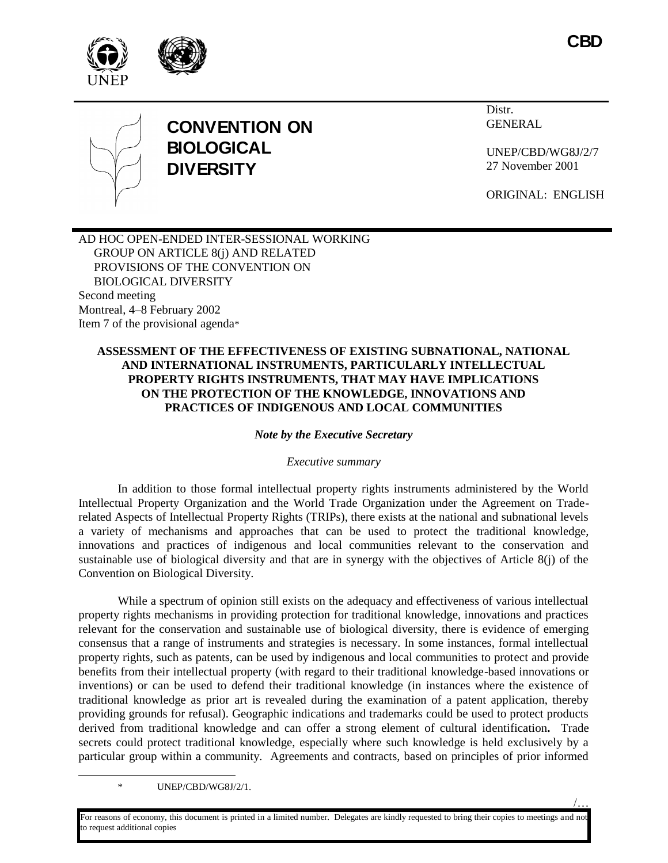





/…



# **CONVENTION ON BIOLOGICAL DIVERSITY**

Distr. GENERAL

UNEP/CBD/WG8J/2/7 27 November 2001

ORIGINAL: ENGLISH

AD HOC OPEN-ENDED INTER-SESSIONAL WORKING GROUP ON ARTICLE 8(j) AND RELATED PROVISIONS OF THE CONVENTION ON BIOLOGICAL DIVERSITY Second meeting Montreal, 4–8 February 2002 Item 7 of the provisional agenda\*

## **ASSESSMENT OF THE EFFECTIVENESS OF EXISTING SUBNATIONAL, NATIONAL AND INTERNATIONAL INSTRUMENTS, PARTICULARLY INTELLECTUAL PROPERTY RIGHTS INSTRUMENTS, THAT MAY HAVE IMPLICATIONS ON THE PROTECTION OF THE KNOWLEDGE, INNOVATIONS AND PRACTICES OF INDIGENOUS AND LOCAL COMMUNITIES**

#### *Note by the Executive Secretary*

#### *Executive summary*

In addition to those formal intellectual property rights instruments administered by the World Intellectual Property Organization and the World Trade Organization under the Agreement on Traderelated Aspects of Intellectual Property Rights (TRIPs), there exists at the national and subnational levels a variety of mechanisms and approaches that can be used to protect the traditional knowledge, innovations and practices of indigenous and local communities relevant to the conservation and sustainable use of biological diversity and that are in synergy with the objectives of Article 8(j) of the Convention on Biological Diversity.

While a spectrum of opinion still exists on the adequacy and effectiveness of various intellectual property rights mechanisms in providing protection for traditional knowledge, innovations and practices relevant for the conservation and sustainable use of biological diversity, there is evidence of emerging consensus that a range of instruments and strategies is necessary. In some instances, formal intellectual property rights, such as patents, can be used by indigenous and local communities to protect and provide benefits from their intellectual property (with regard to their traditional knowledge-based innovations or inventions) or can be used to defend their traditional knowledge (in instances where the existence of traditional knowledge as prior art is revealed during the examination of a patent application, thereby providing grounds for refusal). Geographic indications and trademarks could be used to protect products derived from traditional knowledge and can offer a strong element of cultural identification**.** Trade secrets could protect traditional knowledge, especially where such knowledge is held exclusively by a particular group within a community. Agreements and contracts, based on principles of prior informed

\* UNEP/CBD/WG8J/2/1.

l

For reasons of economy, this document is printed in a limited number. Delegates are kindly requested to bring their copies to meetings and not o request additional copies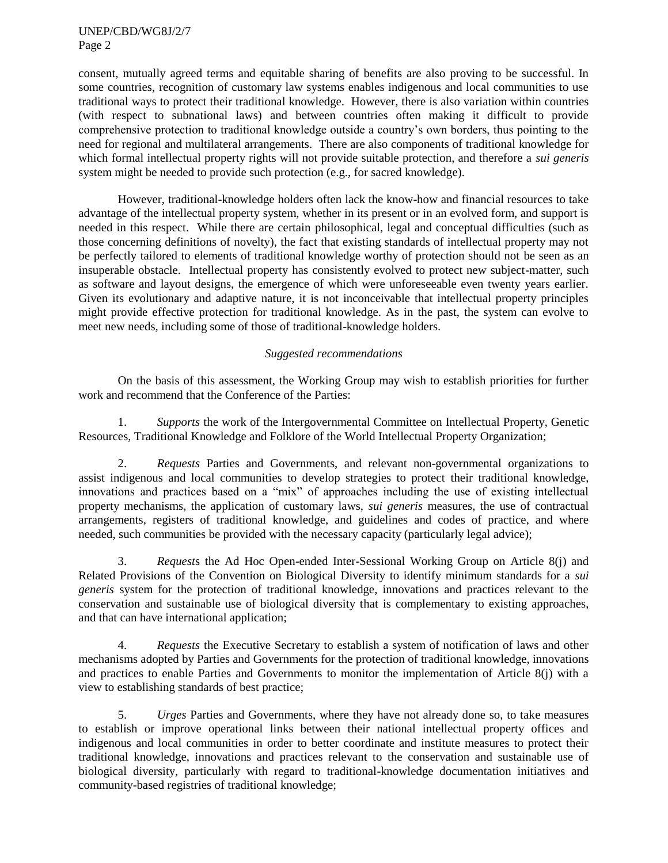consent, mutually agreed terms and equitable sharing of benefits are also proving to be successful. In some countries, recognition of customary law systems enables indigenous and local communities to use traditional ways to protect their traditional knowledge. However, there is also variation within countries (with respect to subnational laws) and between countries often making it difficult to provide comprehensive protection to traditional knowledge outside a country's own borders, thus pointing to the need for regional and multilateral arrangements. There are also components of traditional knowledge for which formal intellectual property rights will not provide suitable protection, and therefore a *sui generis* system might be needed to provide such protection (e.g., for sacred knowledge).

However, traditional-knowledge holders often lack the know-how and financial resources to take advantage of the intellectual property system, whether in its present or in an evolved form, and support is needed in this respect. While there are certain philosophical, legal and conceptual difficulties (such as those concerning definitions of novelty), the fact that existing standards of intellectual property may not be perfectly tailored to elements of traditional knowledge worthy of protection should not be seen as an insuperable obstacle. Intellectual property has consistently evolved to protect new subject-matter, such as software and layout designs, the emergence of which were unforeseeable even twenty years earlier. Given its evolutionary and adaptive nature, it is not inconceivable that intellectual property principles might provide effective protection for traditional knowledge. As in the past, the system can evolve to meet new needs, including some of those of traditional-knowledge holders.

## *Suggested recommendations*

On the basis of this assessment, the Working Group may wish to establish priorities for further work and recommend that the Conference of the Parties:

1. *Supports* the work of the Intergovernmental Committee on Intellectual Property, Genetic Resources, Traditional Knowledge and Folklore of the World Intellectual Property Organization;

2. *Requests* Parties and Governments, and relevant non-governmental organizations to assist indigenous and local communities to develop strategies to protect their traditional knowledge, innovations and practices based on a "mix" of approaches including the use of existing intellectual property mechanisms, the application of customary laws, *sui generis* measures, the use of contractual arrangements, registers of traditional knowledge, and guidelines and codes of practice, and where needed, such communities be provided with the necessary capacity (particularly legal advice);

3. *Request*s the Ad Hoc Open-ended Inter-Sessional Working Group on Article 8(j) and Related Provisions of the Convention on Biological Diversity to identify minimum standards for a *sui generis* system for the protection of traditional knowledge, innovations and practices relevant to the conservation and sustainable use of biological diversity that is complementary to existing approaches, and that can have international application;

4. *Requests* the Executive Secretary to establish a system of notification of laws and other mechanisms adopted by Parties and Governments for the protection of traditional knowledge, innovations and practices to enable Parties and Governments to monitor the implementation of Article 8(j) with a view to establishing standards of best practice;

5. *Urges* Parties and Governments, where they have not already done so, to take measures to establish or improve operational links between their national intellectual property offices and indigenous and local communities in order to better coordinate and institute measures to protect their traditional knowledge, innovations and practices relevant to the conservation and sustainable use of biological diversity, particularly with regard to traditional-knowledge documentation initiatives and community-based registries of traditional knowledge;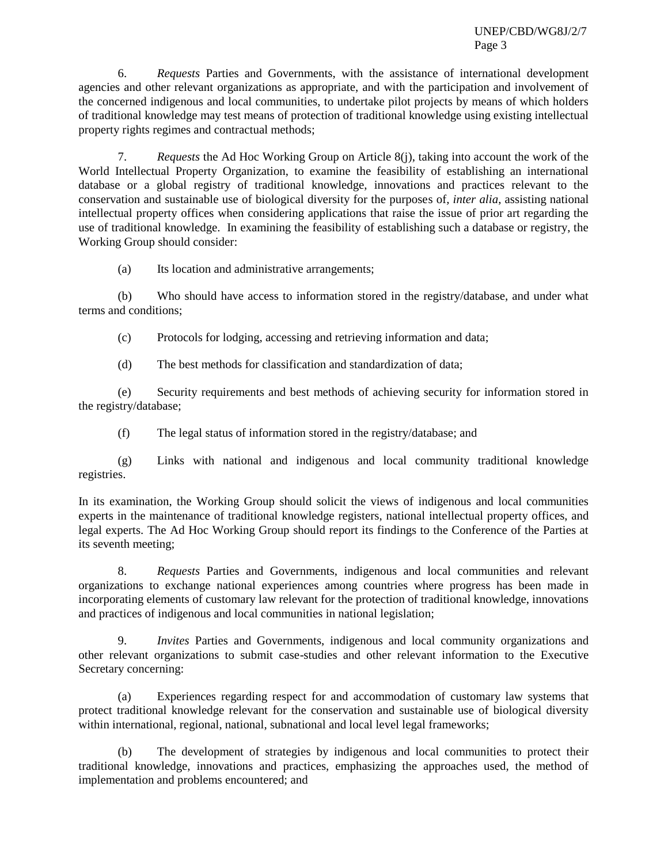6. *Requests* Parties and Governments, with the assistance of international development agencies and other relevant organizations as appropriate, and with the participation and involvement of the concerned indigenous and local communities, to undertake pilot projects by means of which holders of traditional knowledge may test means of protection of traditional knowledge using existing intellectual property rights regimes and contractual methods;

7. *Requests* the Ad Hoc Working Group on Article 8(j), taking into account the work of the World Intellectual Property Organization, to examine the feasibility of establishing an international database or a global registry of traditional knowledge, innovations and practices relevant to the conservation and sustainable use of biological diversity for the purposes of*, inter alia*, assisting national intellectual property offices when considering applications that raise the issue of prior art regarding the use of traditional knowledge. In examining the feasibility of establishing such a database or registry, the Working Group should consider:

(a) Its location and administrative arrangements;

(b) Who should have access to information stored in the registry/database, and under what terms and conditions;

(c) Protocols for lodging, accessing and retrieving information and data;

(d) The best methods for classification and standardization of data;

(e) Security requirements and best methods of achieving security for information stored in the registry/database;

(f) The legal status of information stored in the registry/database; and

(g) Links with national and indigenous and local community traditional knowledge registries.

In its examination, the Working Group should solicit the views of indigenous and local communities experts in the maintenance of traditional knowledge registers, national intellectual property offices, and legal experts. The Ad Hoc Working Group should report its findings to the Conference of the Parties at its seventh meeting;

8. *Requests* Parties and Governments, indigenous and local communities and relevant organizations to exchange national experiences among countries where progress has been made in incorporating elements of customary law relevant for the protection of traditional knowledge, innovations and practices of indigenous and local communities in national legislation;

9. *Invites* Parties and Governments, indigenous and local community organizations and other relevant organizations to submit case-studies and other relevant information to the Executive Secretary concerning:

(a) Experiences regarding respect for and accommodation of customary law systems that protect traditional knowledge relevant for the conservation and sustainable use of biological diversity within international, regional, national, subnational and local level legal frameworks;

(b) The development of strategies by indigenous and local communities to protect their traditional knowledge, innovations and practices, emphasizing the approaches used, the method of implementation and problems encountered; and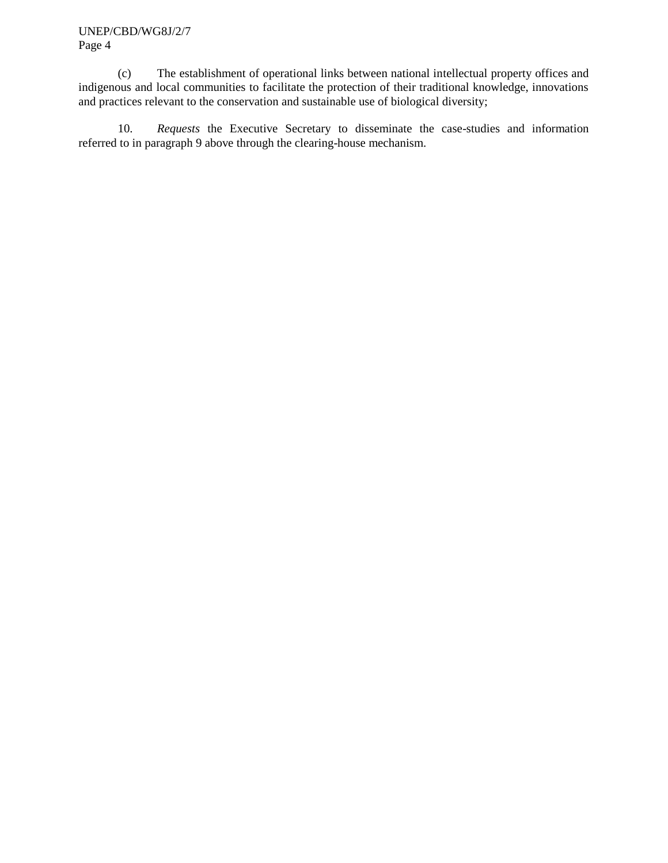(c) The establishment of operational links between national intellectual property offices and indigenous and local communities to facilitate the protection of their traditional knowledge, innovations and practices relevant to the conservation and sustainable use of biological diversity;

10. *Requests* the Executive Secretary to disseminate the case-studies and information referred to in paragraph 9 above through the clearing-house mechanism.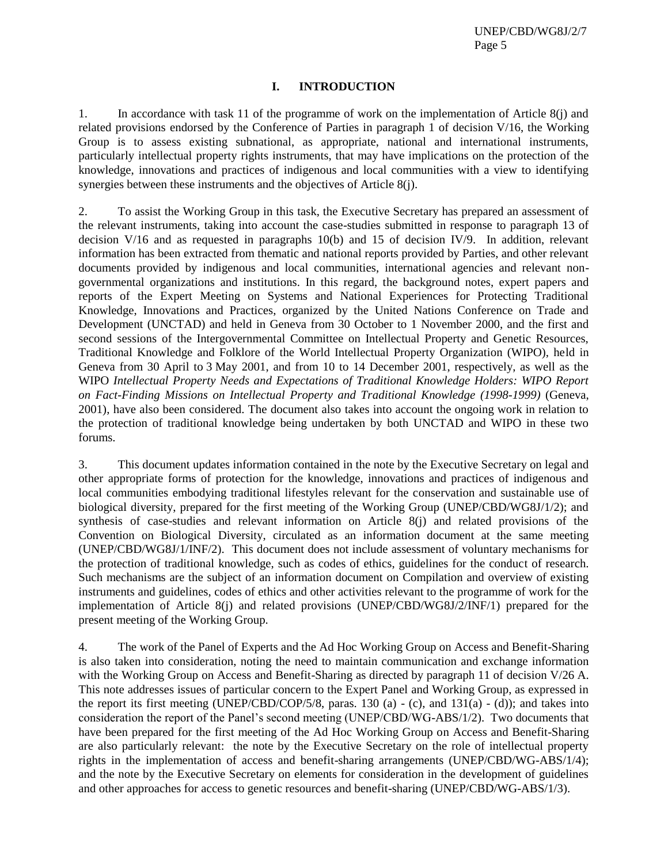#### **I. INTRODUCTION**

1. In accordance with task 11 of the programme of work on the implementation of Article 8(j) and related provisions endorsed by the Conference of Parties in paragraph 1 of decision V/16, the Working Group is to assess existing subnational, as appropriate, national and international instruments, particularly intellectual property rights instruments, that may have implications on the protection of the knowledge, innovations and practices of indigenous and local communities with a view to identifying synergies between these instruments and the objectives of Article 8(j).

2. To assist the Working Group in this task, the Executive Secretary has prepared an assessment of the relevant instruments, taking into account the case-studies submitted in response to paragraph 13 of decision V/16 and as requested in paragraphs 10(b) and 15 of decision IV/9. In addition, relevant information has been extracted from thematic and national reports provided by Parties, and other relevant documents provided by indigenous and local communities, international agencies and relevant nongovernmental organizations and institutions. In this regard, the background notes, expert papers and reports of the Expert Meeting on Systems and National Experiences for Protecting Traditional Knowledge, Innovations and Practices, organized by the United Nations Conference on Trade and Development (UNCTAD) and held in Geneva from 30 October to 1 November 2000, and the first and second sessions of the Intergovernmental Committee on Intellectual Property and Genetic Resources, Traditional Knowledge and Folklore of the World Intellectual Property Organization (WIPO), held in Geneva from 30 April to 3 May 2001, and from 10 to 14 December 2001, respectively, as well as the WIPO *Intellectual Property Needs and Expectations of Traditional Knowledge Holders: WIPO Report on Fact-Finding Missions on Intellectual Property and Traditional Knowledge (1998-1999)* (Geneva, 2001), have also been considered. The document also takes into account the ongoing work in relation to the protection of traditional knowledge being undertaken by both UNCTAD and WIPO in these two forums.

3. This document updates information contained in the note by the Executive Secretary on legal and other appropriate forms of protection for the knowledge, innovations and practices of indigenous and local communities embodying traditional lifestyles relevant for the conservation and sustainable use of biological diversity, prepared for the first meeting of the Working Group (UNEP/CBD/WG8J/1/2); and synthesis of case-studies and relevant information on Article 8(j) and related provisions of the Convention on Biological Diversity, circulated as an information document at the same meeting (UNEP/CBD/WG8J/1/INF/2). This document does not include assessment of voluntary mechanisms for the protection of traditional knowledge, such as codes of ethics, guidelines for the conduct of research. Such mechanisms are the subject of an information document on Compilation and overview of existing instruments and guidelines, codes of ethics and other activities relevant to the programme of work for the implementation of Article 8(j) and related provisions (UNEP/CBD/WG8J/2/INF/1) prepared for the present meeting of the Working Group.

4. The work of the Panel of Experts and the Ad Hoc Working Group on Access and Benefit-Sharing is also taken into consideration, noting the need to maintain communication and exchange information with the Working Group on Access and Benefit-Sharing as directed by paragraph 11 of decision V/26 A. This note addresses issues of particular concern to the Expert Panel and Working Group, as expressed in the report its first meeting (UNEP/CBD/COP/5/8, paras. 130 (a) - (c), and 131(a) - (d)); and takes into consideration the report of the Panel's second meeting (UNEP/CBD/WG-ABS/1/2). Two documents that have been prepared for the first meeting of the Ad Hoc Working Group on Access and Benefit-Sharing are also particularly relevant: the note by the Executive Secretary on the role of intellectual property rights in the implementation of access and benefit-sharing arrangements (UNEP/CBD/WG-ABS/1/4); and the note by the Executive Secretary on elements for consideration in the development of guidelines and other approaches for access to genetic resources and benefit-sharing (UNEP/CBD/WG-ABS/1/3).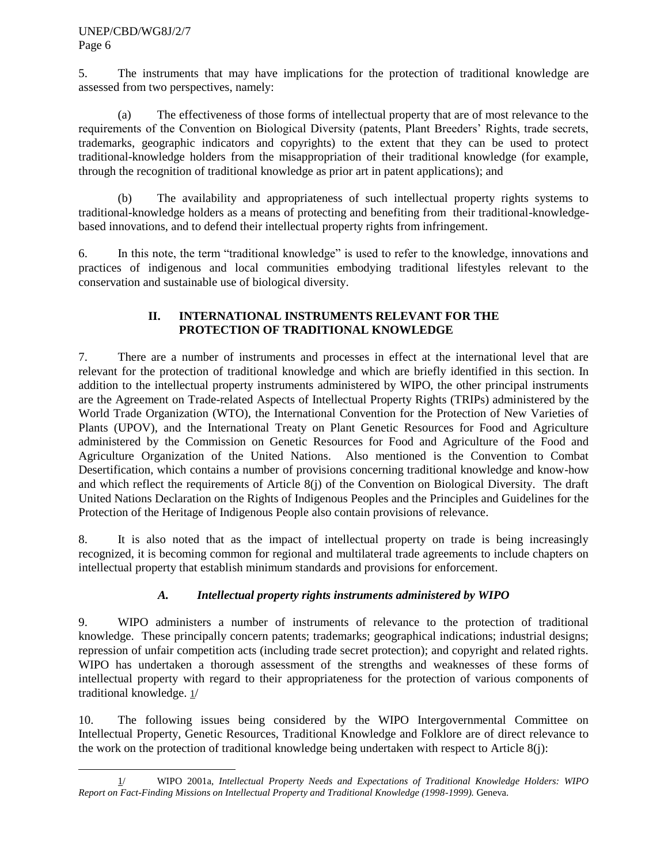5. The instruments that may have implications for the protection of traditional knowledge are assessed from two perspectives, namely:

(a) The effectiveness of those forms of intellectual property that are of most relevance to the requirements of the Convention on Biological Diversity (patents, Plant Breeders' Rights, trade secrets, trademarks, geographic indicators and copyrights) to the extent that they can be used to protect traditional-knowledge holders from the misappropriation of their traditional knowledge (for example, through the recognition of traditional knowledge as prior art in patent applications); and

(b) The availability and appropriateness of such intellectual property rights systems to traditional-knowledge holders as a means of protecting and benefiting from their traditional-knowledgebased innovations, and to defend their intellectual property rights from infringement.

6. In this note, the term "traditional knowledge" is used to refer to the knowledge, innovations and practices of indigenous and local communities embodying traditional lifestyles relevant to the conservation and sustainable use of biological diversity.

# **II. INTERNATIONAL INSTRUMENTS RELEVANT FOR THE PROTECTION OF TRADITIONAL KNOWLEDGE**

7. There are a number of instruments and processes in effect at the international level that are relevant for the protection of traditional knowledge and which are briefly identified in this section. In addition to the intellectual property instruments administered by WIPO, the other principal instruments are the Agreement on Trade-related Aspects of Intellectual Property Rights (TRIPs) administered by the World Trade Organization (WTO), the International Convention for the Protection of New Varieties of Plants (UPOV), and the International Treaty on Plant Genetic Resources for Food and Agriculture administered by the Commission on Genetic Resources for Food and Agriculture of the Food and Agriculture Organization of the United Nations. Also mentioned is the Convention to Combat Desertification, which contains a number of provisions concerning traditional knowledge and know-how and which reflect the requirements of Article 8(j) of the Convention on Biological Diversity. The draft United Nations Declaration on the Rights of Indigenous Peoples and the Principles and Guidelines for the Protection of the Heritage of Indigenous People also contain provisions of relevance.

8. It is also noted that as the impact of intellectual property on trade is being increasingly recognized, it is becoming common for regional and multilateral trade agreements to include chapters on intellectual property that establish minimum standards and provisions for enforcement.

# *A. Intellectual property rights instruments administered by WIPO*

9. WIPO administers a number of instruments of relevance to the protection of traditional knowledge. These principally concern patents; trademarks; geographical indications; industrial designs; repression of unfair competition acts (including trade secret protection); and copyright and related rights. WIPO has undertaken a thorough assessment of the strengths and weaknesses of these forms of intellectual property with regard to their appropriateness for the protection of various components of traditional knowledge. 1/

10. The following issues being considered by the WIPO Intergovernmental Committee on Intellectual Property, Genetic Resources, Traditional Knowledge and Folklore are of direct relevance to the work on the protection of traditional knowledge being undertaken with respect to Article 8(j):

l 1/ WIPO 2001a, *Intellectual Property Needs and Expectations of Traditional Knowledge Holders: WIPO Report on Fact-Finding Missions on Intellectual Property and Traditional Knowledge (1998-1999).* Geneva.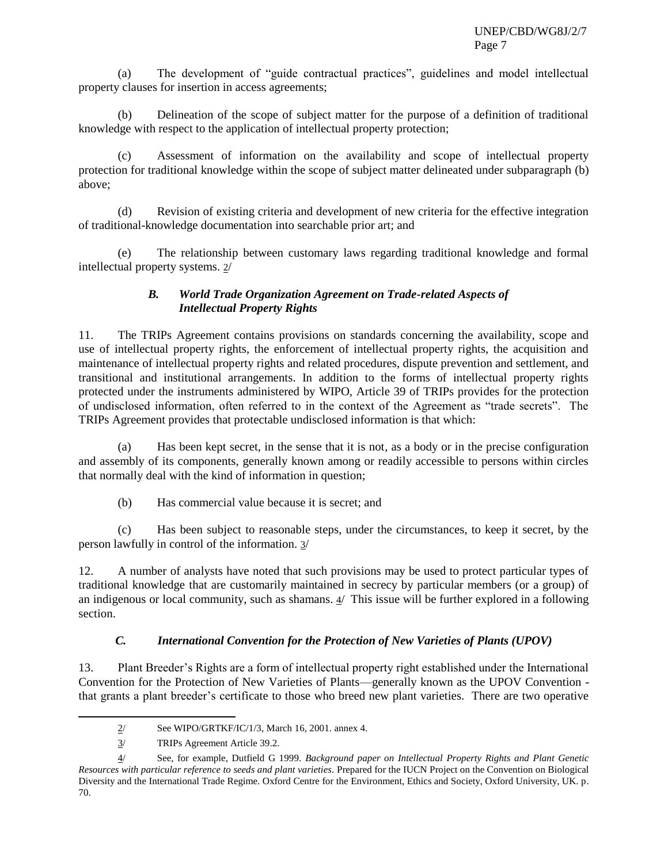(a) The development of "guide contractual practices", guidelines and model intellectual property clauses for insertion in access agreements;

(b) Delineation of the scope of subject matter for the purpose of a definition of traditional knowledge with respect to the application of intellectual property protection;

(c) Assessment of information on the availability and scope of intellectual property protection for traditional knowledge within the scope of subject matter delineated under subparagraph (b) above;

(d) Revision of existing criteria and development of new criteria for the effective integration of traditional-knowledge documentation into searchable prior art; and

(e) The relationship between customary laws regarding traditional knowledge and formal intellectual property systems. 2/

## *B. World Trade Organization Agreement on Trade-related Aspects of Intellectual Property Rights*

11. The TRIPs Agreement contains provisions on standards concerning the availability, scope and use of intellectual property rights, the enforcement of intellectual property rights, the acquisition and maintenance of intellectual property rights and related procedures, dispute prevention and settlement, and transitional and institutional arrangements. In addition to the forms of intellectual property rights protected under the instruments administered by WIPO, Article 39 of TRIPs provides for the protection of undisclosed information, often referred to in the context of the Agreement as "trade secrets". The TRIPs Agreement provides that protectable undisclosed information is that which:

(a) Has been kept secret, in the sense that it is not, as a body or in the precise configuration and assembly of its components, generally known among or readily accessible to persons within circles that normally deal with the kind of information in question;

(b) Has commercial value because it is secret; and

(c) Has been subject to reasonable steps, under the circumstances, to keep it secret, by the person lawfully in control of the information. 3/

12. A number of analysts have noted that such provisions may be used to protect particular types of traditional knowledge that are customarily maintained in secrecy by particular members (or a group) of an indigenous or local community, such as shamans.  $4/$  This issue will be further explored in a following section.

# *C. International Convention for the Protection of New Varieties of Plants (UPOV)*

13. Plant Breeder's Rights are a form of intellectual property right established under the International Convention for the Protection of New Varieties of Plants—generally known as the UPOV Convention that grants a plant breeder's certificate to those who breed new plant varieties. There are two operative

 $2/$  See WIPO/GRTKF/IC/1/3, March 16, 2001. annex 4.

<sup>3/</sup> TRIPs Agreement Article 39.2.

<sup>4/</sup> See, for example, Dutfield G 1999. *Background paper on Intellectual Property Rights and Plant Genetic Resources with particular reference to seeds and plant varieties*. Prepared for the IUCN Project on the Convention on Biological Diversity and the International Trade Regime. Oxford Centre for the Environment, Ethics and Society, Oxford University, UK. p. 70.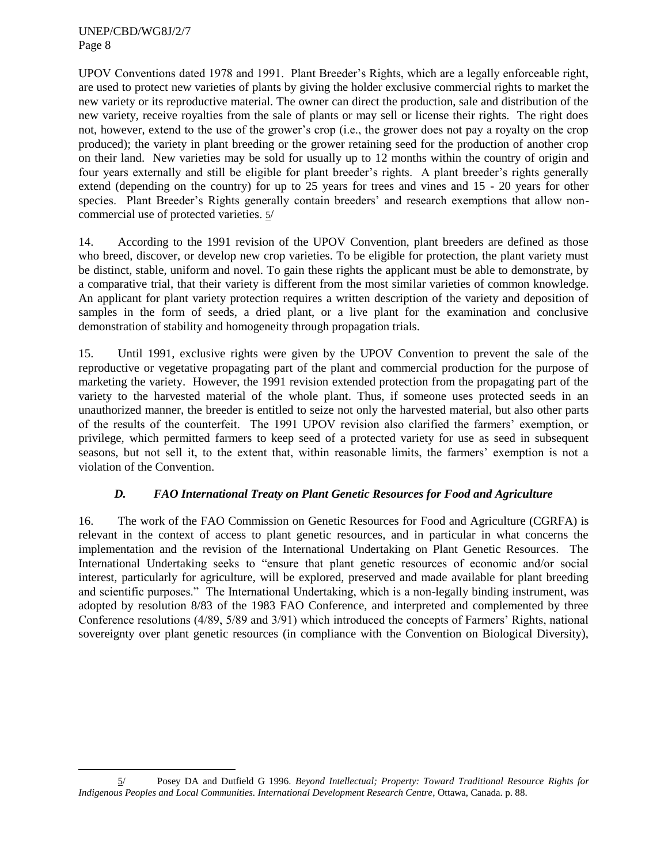l

UPOV Conventions dated 1978 and 1991. Plant Breeder's Rights, which are a legally enforceable right, are used to protect new varieties of plants by giving the holder exclusive commercial rights to market the new variety or its reproductive material. The owner can direct the production, sale and distribution of the new variety, receive royalties from the sale of plants or may sell or license their rights. The right does not, however, extend to the use of the grower's crop (i.e., the grower does not pay a royalty on the crop produced); the variety in plant breeding or the grower retaining seed for the production of another crop on their land. New varieties may be sold for usually up to 12 months within the country of origin and four years externally and still be eligible for plant breeder's rights. A plant breeder's rights generally extend (depending on the country) for up to 25 years for trees and vines and 15 - 20 years for other species. Plant Breeder's Rights generally contain breeders' and research exemptions that allow noncommercial use of protected varieties. 5/

14. According to the 1991 revision of the UPOV Convention, plant breeders are defined as those who breed, discover, or develop new crop varieties. To be eligible for protection, the plant variety must be distinct, stable, uniform and novel. To gain these rights the applicant must be able to demonstrate, by a comparative trial, that their variety is different from the most similar varieties of common knowledge. An applicant for plant variety protection requires a written description of the variety and deposition of samples in the form of seeds, a dried plant, or a live plant for the examination and conclusive demonstration of stability and homogeneity through propagation trials.

15. Until 1991, exclusive rights were given by the UPOV Convention to prevent the sale of the reproductive or vegetative propagating part of the plant and commercial production for the purpose of marketing the variety. However, the 1991 revision extended protection from the propagating part of the variety to the harvested material of the whole plant. Thus, if someone uses protected seeds in an unauthorized manner, the breeder is entitled to seize not only the harvested material, but also other parts of the results of the counterfeit. The 1991 UPOV revision also clarified the farmers' exemption, or privilege, which permitted farmers to keep seed of a protected variety for use as seed in subsequent seasons, but not sell it, to the extent that, within reasonable limits, the farmers' exemption is not a violation of the Convention.

# *D. FAO International Treaty on Plant Genetic Resources for Food and Agriculture*

16. The work of the FAO Commission on Genetic Resources for Food and Agriculture (CGRFA) is relevant in the context of access to plant genetic resources, and in particular in what concerns the implementation and the revision of the International Undertaking on Plant Genetic Resources. The International Undertaking seeks to "ensure that plant genetic resources of economic and/or social interest, particularly for agriculture, will be explored, preserved and made available for plant breeding and scientific purposes." The International Undertaking, which is a non-legally binding instrument, was adopted by resolution 8/83 of the 1983 FAO Conference, and interpreted and complemented by three Conference resolutions (4/89, 5/89 and 3/91) which introduced the concepts of Farmers' Rights, national sovereignty over plant genetic resources (in compliance with the Convention on Biological Diversity),

<sup>5/</sup> Posey DA and Dutfield G 1996. *Beyond Intellectual; Property: Toward Traditional Resource Rights for Indigenous Peoples and Local Communities. International Development Research Centre*, Ottawa, Canada. p. 88.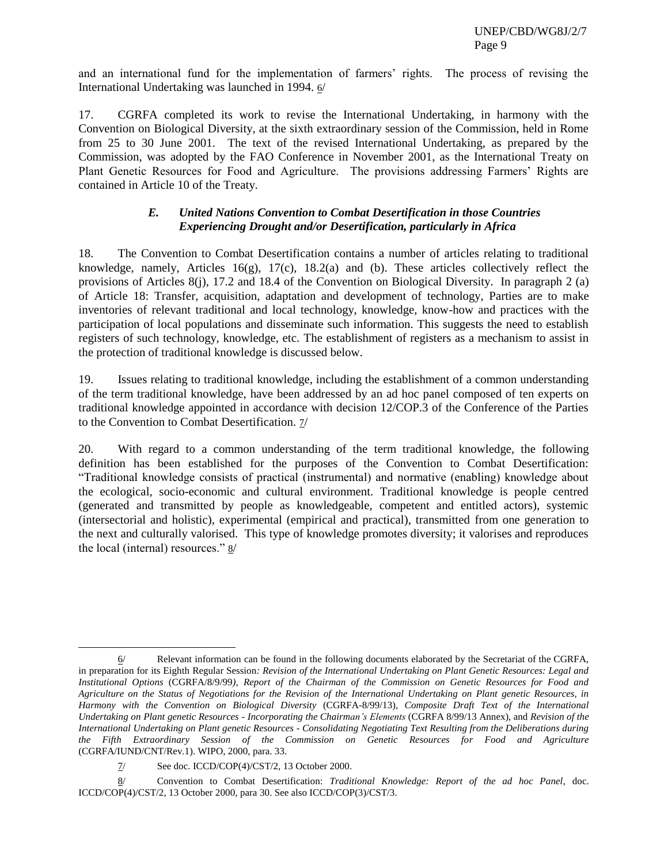and an international fund for the implementation of farmers' rights. The process of revising the International Undertaking was launched in 1994. 6/

17. CGRFA completed its work to revise the International Undertaking, in harmony with the Convention on Biological Diversity, at the sixth extraordinary session of the Commission, held in Rome from 25 to 30 June 2001. The text of the revised International Undertaking, as prepared by the Commission, was adopted by the FAO Conference in November 2001, as the International Treaty on Plant Genetic Resources for Food and Agriculture. The provisions addressing Farmers' Rights are contained in Article 10 of the Treaty.

## *E. United Nations Convention to Combat Desertification in those Countries Experiencing Drought and/or Desertification, particularly in Africa*

18. The Convention to Combat Desertification contains a number of articles relating to traditional knowledge, namely, Articles 16(g), 17(c), 18.2(a) and (b). These articles collectively reflect the provisions of Articles 8(j), 17.2 and 18.4 of the Convention on Biological Diversity. In paragraph 2 (a) of Article 18: Transfer, acquisition, adaptation and development of technology, Parties are to make inventories of relevant traditional and local technology, knowledge, know-how and practices with the participation of local populations and disseminate such information. This suggests the need to establish registers of such technology, knowledge, etc. The establishment of registers as a mechanism to assist in the protection of traditional knowledge is discussed below.

19. Issues relating to traditional knowledge, including the establishment of a common understanding of the term traditional knowledge, have been addressed by an ad hoc panel composed of ten experts on traditional knowledge appointed in accordance with decision 12/COP.3 of the Conference of the Parties to the Convention to Combat Desertification. 7/

20. With regard to a common understanding of the term traditional knowledge, the following definition has been established for the purposes of the Convention to Combat Desertification: ―Traditional knowledge consists of practical (instrumental) and normative (enabling) knowledge about the ecological, socio-economic and cultural environment. Traditional knowledge is people centred (generated and transmitted by people as knowledgeable, competent and entitled actors), systemic (intersectorial and holistic), experimental (empirical and practical), transmitted from one generation to the next and culturally valorised. This type of knowledge promotes diversity; it valorises and reproduces the local (internal) resources."  $8/$ 

 $6/$  Relevant information can be found in the following documents elaborated by the Secretariat of the CGRFA, in preparation for its Eighth Regular Session*: Revision of the International Undertaking on Plant Genetic Resources: Legal and Institutional Options* (CGRFA/8/9/99*), Report of the Chairman of the Commission on Genetic Resources for Food and Agriculture on the Status of Negotiations for the Revision of the International Undertaking on Plant genetic Resources, in Harmony with the Convention on Biological Diversity* (CGRFA-8/99/13), *Composite Draft Text of the International Undertaking on Plant genetic Resources - Incorporating the Chairman's Elements* (CGRFA 8/99/13 Annex), and *Revision of the International Undertaking on Plant genetic Resources - Consolidating Negotiating Text Resulting from the Deliberations during the Fifth Extraordinary Session of the Commission on Genetic Resources for Food and Agriculture* (CGRFA/IUND/CNT/Rev.1). WIPO, 2000, para. 33.

<sup>7/</sup> See doc. ICCD/COP(4)/CST/2, 13 October 2000.

<sup>8/</sup> Convention to Combat Desertification: *Traditional Knowledge: Report of the ad hoc Panel*, doc. ICCD/COP(4)/CST/2, 13 October 2000, para 30. See also ICCD/COP(3)/CST/3.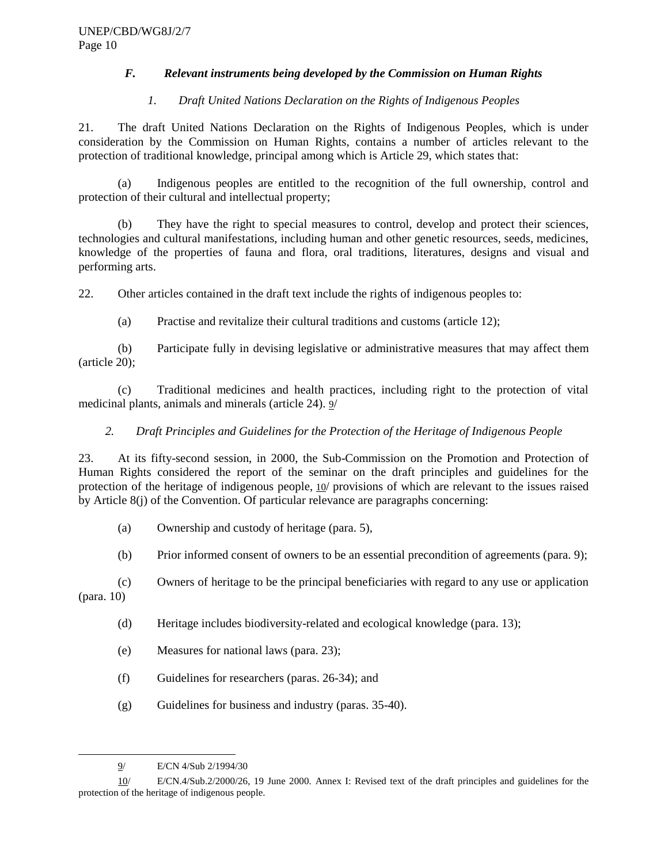## *F. Relevant instruments being developed by the Commission on Human Rights*

## *1. Draft United Nations Declaration on the Rights of Indigenous Peoples*

21. The draft United Nations Declaration on the Rights of Indigenous Peoples, which is under consideration by the Commission on Human Rights, contains a number of articles relevant to the protection of traditional knowledge, principal among which is Article 29, which states that:

(a) Indigenous peoples are entitled to the recognition of the full ownership, control and protection of their cultural and intellectual property;

(b) They have the right to special measures to control, develop and protect their sciences, technologies and cultural manifestations, including human and other genetic resources, seeds, medicines, knowledge of the properties of fauna and flora, oral traditions, literatures, designs and visual and performing arts.

22. Other articles contained in the draft text include the rights of indigenous peoples to:

(a) Practise and revitalize their cultural traditions and customs (article 12);

(b) Participate fully in devising legislative or administrative measures that may affect them (article 20);

(c) Traditional medicines and health practices, including right to the protection of vital medicinal plants, animals and minerals (article 24). 9/

# *2. Draft Principles and Guidelines for the Protection of the Heritage of Indigenous People*

23. At its fifty-second session, in 2000, the Sub-Commission on the Promotion and Protection of Human Rights considered the report of the seminar on the draft principles and guidelines for the protection of the heritage of indigenous people, 10/ provisions of which are relevant to the issues raised by Article  $8(i)$  of the Convention. Of particular relevance are paragraphs concerning:

- (a) Ownership and custody of heritage (para. 5),
- (b) Prior informed consent of owners to be an essential precondition of agreements (para. 9);

(c) Owners of heritage to be the principal beneficiaries with regard to any use or application

(para. 10)

- (d) Heritage includes biodiversity-related and ecological knowledge (para. 13);
- (e) Measures for national laws (para. 23);
- (f) Guidelines for researchers (paras. 26-34); and
- (g) Guidelines for business and industry (paras. 35-40).

<sup>9/</sup> E/CN 4/Sub 2/1994/30

<sup>10/</sup> E/CN.4/Sub.2/2000/26, 19 June 2000. Annex I: Revised text of the draft principles and guidelines for the protection of the heritage of indigenous people.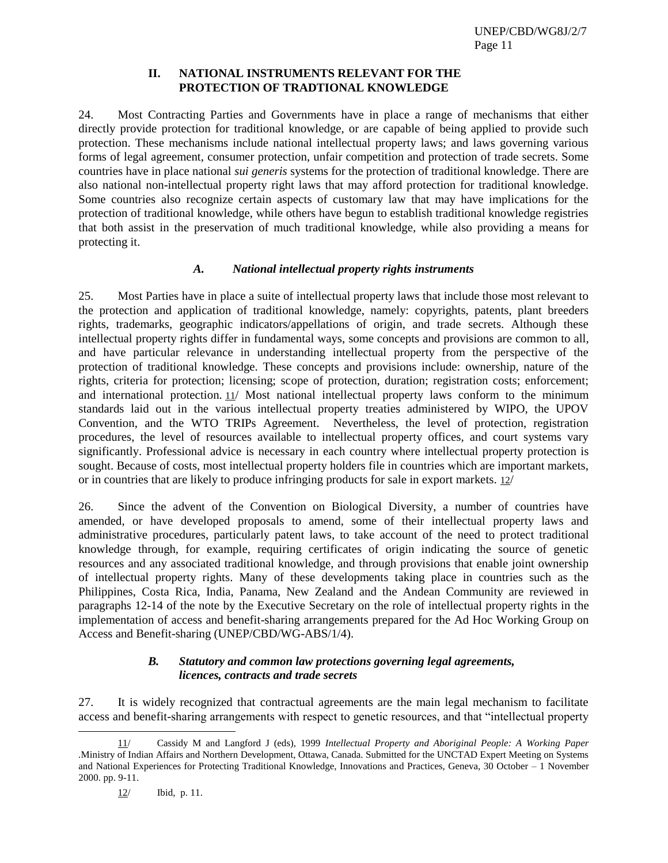#### **II. NATIONAL INSTRUMENTS RELEVANT FOR THE PROTECTION OF TRADTIONAL KNOWLEDGE**

24. Most Contracting Parties and Governments have in place a range of mechanisms that either directly provide protection for traditional knowledge, or are capable of being applied to provide such protection. These mechanisms include national intellectual property laws; and laws governing various forms of legal agreement, consumer protection, unfair competition and protection of trade secrets. Some countries have in place national *sui generis* systems for the protection of traditional knowledge. There are also national non-intellectual property right laws that may afford protection for traditional knowledge. Some countries also recognize certain aspects of customary law that may have implications for the protection of traditional knowledge, while others have begun to establish traditional knowledge registries that both assist in the preservation of much traditional knowledge, while also providing a means for protecting it.

## *A. National intellectual property rights instruments*

25. Most Parties have in place a suite of intellectual property laws that include those most relevant to the protection and application of traditional knowledge, namely: copyrights, patents, plant breeders rights, trademarks, geographic indicators/appellations of origin, and trade secrets. Although these intellectual property rights differ in fundamental ways, some concepts and provisions are common to all, and have particular relevance in understanding intellectual property from the perspective of the protection of traditional knowledge. These concepts and provisions include: ownership, nature of the rights, criteria for protection; licensing; scope of protection, duration; registration costs; enforcement; and international protection.  $11/$  Most national intellectual property laws conform to the minimum standards laid out in the various intellectual property treaties administered by WIPO, the UPOV Convention, and the WTO TRIPs Agreement. Nevertheless, the level of protection, registration procedures, the level of resources available to intellectual property offices, and court systems vary significantly. Professional advice is necessary in each country where intellectual property protection is sought. Because of costs, most intellectual property holders file in countries which are important markets, or in countries that are likely to produce infringing products for sale in export markets. 12/

26. Since the advent of the Convention on Biological Diversity, a number of countries have amended, or have developed proposals to amend, some of their intellectual property laws and administrative procedures, particularly patent laws, to take account of the need to protect traditional knowledge through, for example, requiring certificates of origin indicating the source of genetic resources and any associated traditional knowledge, and through provisions that enable joint ownership of intellectual property rights. Many of these developments taking place in countries such as the Philippines, Costa Rica, India, Panama, New Zealand and the Andean Community are reviewed in paragraphs 12-14 of the note by the Executive Secretary on the role of intellectual property rights in the implementation of access and benefit-sharing arrangements prepared for the Ad Hoc Working Group on Access and Benefit-sharing (UNEP/CBD/WG-ABS/1/4).

#### *B. Statutory and common law protections governing legal agreements, licences, contracts and trade secrets*

27. It is widely recognized that contractual agreements are the main legal mechanism to facilitate access and benefit-sharing arrangements with respect to genetic resources, and that "intellectual property

12/ Ibid, p. 11.

<sup>11/</sup> Cassidy M and Langford J (eds), 1999 *Intellectual Property and Aboriginal People: A Working Paper .*Ministry of Indian Affairs and Northern Development, Ottawa, Canada. Submitted for the UNCTAD Expert Meeting on Systems and National Experiences for Protecting Traditional Knowledge, Innovations and Practices, Geneva, 30 October – 1 November 2000. pp. 9-11.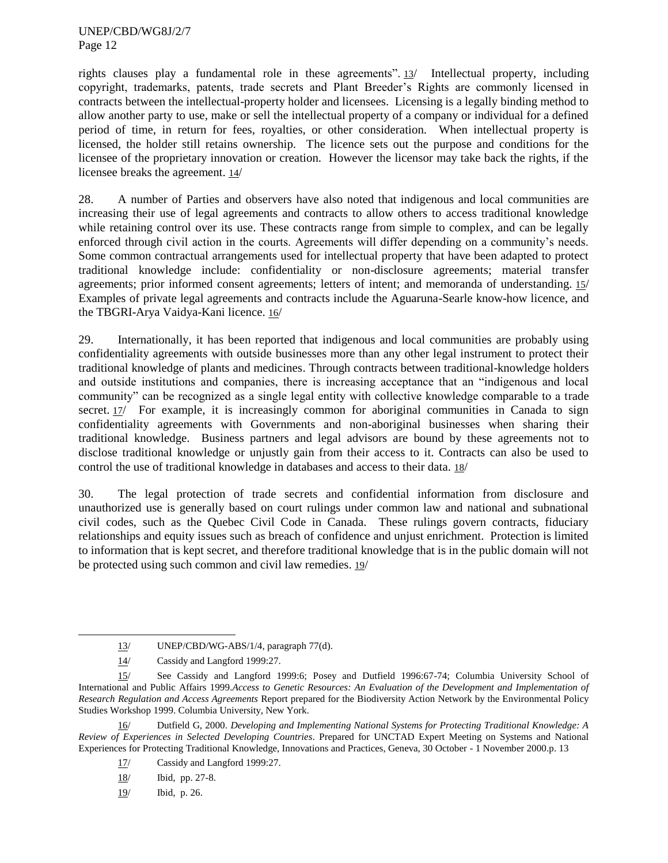rights clauses play a fundamental role in these agreements".  $13/$  Intellectual property, including copyright, trademarks, patents, trade secrets and Plant Breeder's Rights are commonly licensed in contracts between the intellectual-property holder and licensees. Licensing is a legally binding method to allow another party to use, make or sell the intellectual property of a company or individual for a defined period of time, in return for fees, royalties, or other consideration. When intellectual property is licensed, the holder still retains ownership. The licence sets out the purpose and conditions for the licensee of the proprietary innovation or creation. However the licensor may take back the rights, if the licensee breaks the agreement. 14/

28. A number of Parties and observers have also noted that indigenous and local communities are increasing their use of legal agreements and contracts to allow others to access traditional knowledge while retaining control over its use. These contracts range from simple to complex, and can be legally enforced through civil action in the courts. Agreements will differ depending on a community's needs. Some common contractual arrangements used for intellectual property that have been adapted to protect traditional knowledge include: confidentiality or non-disclosure agreements; material transfer agreements; prior informed consent agreements; letters of intent; and memoranda of understanding. 15/ Examples of private legal agreements and contracts include the Aguaruna-Searle know-how licence, and the TBGRI-Arya Vaidya-Kani licence. 16/

29. Internationally, it has been reported that indigenous and local communities are probably using confidentiality agreements with outside businesses more than any other legal instrument to protect their traditional knowledge of plants and medicines. Through contracts between traditional-knowledge holders and outside institutions and companies, there is increasing acceptance that an "indigenous and local community" can be recognized as a single legal entity with collective knowledge comparable to a trade secret. 17/ For example, it is increasingly common for aboriginal communities in Canada to sign confidentiality agreements with Governments and non-aboriginal businesses when sharing their traditional knowledge. Business partners and legal advisors are bound by these agreements not to disclose traditional knowledge or unjustly gain from their access to it. Contracts can also be used to control the use of traditional knowledge in databases and access to their data. 18/

30. The legal protection of trade secrets and confidential information from disclosure and unauthorized use is generally based on court rulings under common law and national and subnational civil codes, such as the Quebec Civil Code in Canada. These rulings govern contracts, fiduciary relationships and equity issues such as breach of confidence and unjust enrichment. Protection is limited to information that is kept secret, and therefore traditional knowledge that is in the public domain will not be protected using such common and civil law remedies. 19/

- 17/ Cassidy and Langford 1999:27.
- 18/ Ibid, pp. 27-8.
- 19/ Ibid, p. 26.

<sup>13/</sup> UNEP/CBD/WG-ABS/1/4, paragraph 77(d).

<sup>14/</sup> Cassidy and Langford 1999:27.

<sup>15/</sup> See Cassidy and Langford 1999:6; Posey and Dutfield 1996:67-74; Columbia University School of International and Public Affairs 1999.*Access to Genetic Resources: An Evaluation of the Development and Implementation of Research Regulation and Access Agreements* Report prepared for the Biodiversity Action Network by the Environmental Policy Studies Workshop 1999. Columbia University, New York.

<sup>16/</sup> Dutfield G, 2000. *Developing and Implementing National Systems for Protecting Traditional Knowledge: A Review of Experiences in Selected Developing Countries*. Prepared for UNCTAD Expert Meeting on Systems and National Experiences for Protecting Traditional Knowledge, Innovations and Practices, Geneva, 30 October - 1 November 2000.p. 13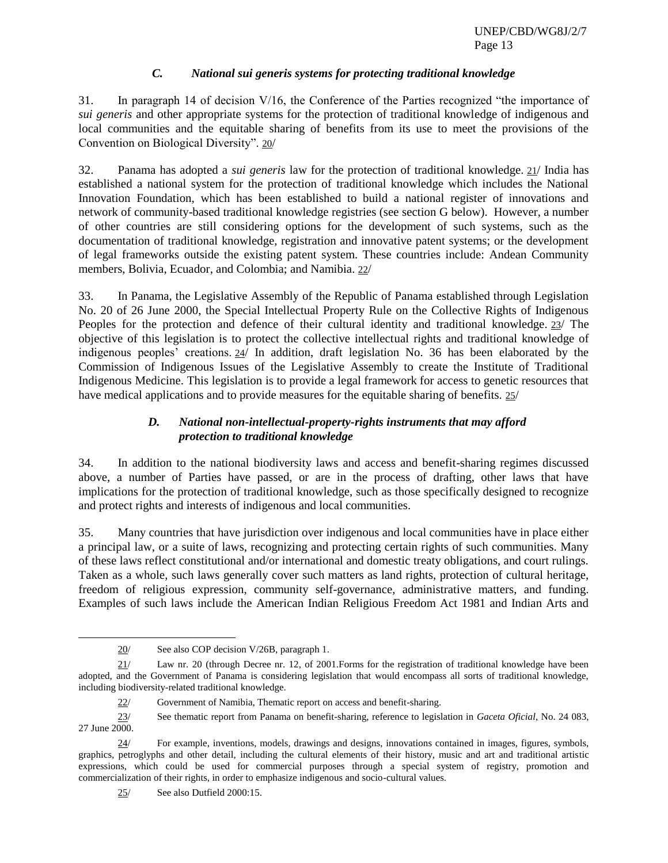# *C. National sui generis systems for protecting traditional knowledge*

31. In paragraph 14 of decision  $V/16$ , the Conference of the Parties recognized "the importance of *sui generis* and other appropriate systems for the protection of traditional knowledge of indigenous and local communities and the equitable sharing of benefits from its use to meet the provisions of the Convention on Biological Diversity". 20/

32. Panama has adopted a *sui generis* law for the protection of traditional knowledge. 21/ India has established a national system for the protection of traditional knowledge which includes the National Innovation Foundation, which has been established to build a national register of innovations and network of community-based traditional knowledge registries (see section G below). However, a number of other countries are still considering options for the development of such systems, such as the documentation of traditional knowledge, registration and innovative patent systems; or the development of legal frameworks outside the existing patent system. These countries include: Andean Community members, Bolivia, Ecuador, and Colombia; and Namibia. 22/

33. In Panama, the Legislative Assembly of the Republic of Panama established through Legislation No. 20 of 26 June 2000, the Special Intellectual Property Rule on the Collective Rights of Indigenous Peoples for the protection and defence of their cultural identity and traditional knowledge. 23/ The objective of this legislation is to protect the collective intellectual rights and traditional knowledge of indigenous peoples' creations. 24/ In addition, draft legislation No. 36 has been elaborated by the Commission of Indigenous Issues of the Legislative Assembly to create the Institute of Traditional Indigenous Medicine. This legislation is to provide a legal framework for access to genetic resources that have medical applications and to provide measures for the equitable sharing of benefits. 25/

# *D. National non-intellectual-property-rights instruments that may afford protection to traditional knowledge*

34. In addition to the national biodiversity laws and access and benefit-sharing regimes discussed above, a number of Parties have passed, or are in the process of drafting, other laws that have implications for the protection of traditional knowledge, such as those specifically designed to recognize and protect rights and interests of indigenous and local communities.

35. Many countries that have jurisdiction over indigenous and local communities have in place either a principal law, or a suite of laws, recognizing and protecting certain rights of such communities. Many of these laws reflect constitutional and/or international and domestic treaty obligations, and court rulings. Taken as a whole, such laws generally cover such matters as land rights, protection of cultural heritage, freedom of religious expression, community self-governance, administrative matters, and funding. Examples of such laws include the American Indian Religious Freedom Act 1981 and Indian Arts and

<sup>20/</sup> See also COP decision V/26B, paragraph 1.

<sup>21/</sup> Law nr. 20 (through Decree nr. 12, of 2001.Forms for the registration of traditional knowledge have been adopted, and the Government of Panama is considering legislation that would encompass all sorts of traditional knowledge, including biodiversity-related traditional knowledge.

<sup>22/</sup> Government of Namibia, Thematic report on access and benefit-sharing.

<sup>23/</sup> See thematic report from Panama on benefit-sharing, reference to legislation in *Gaceta Oficial*, No. 24 083, 27 June 2000.

<sup>24/</sup> For example, inventions, models, drawings and designs, innovations contained in images, figures, symbols, graphics, petroglyphs and other detail, including the cultural elements of their history, music and art and traditional artistic expressions, which could be used for commercial purposes through a special system of registry, promotion and commercialization of their rights, in order to emphasize indigenous and socio-cultural values.

<sup>25/</sup> See also Dutfield 2000:15.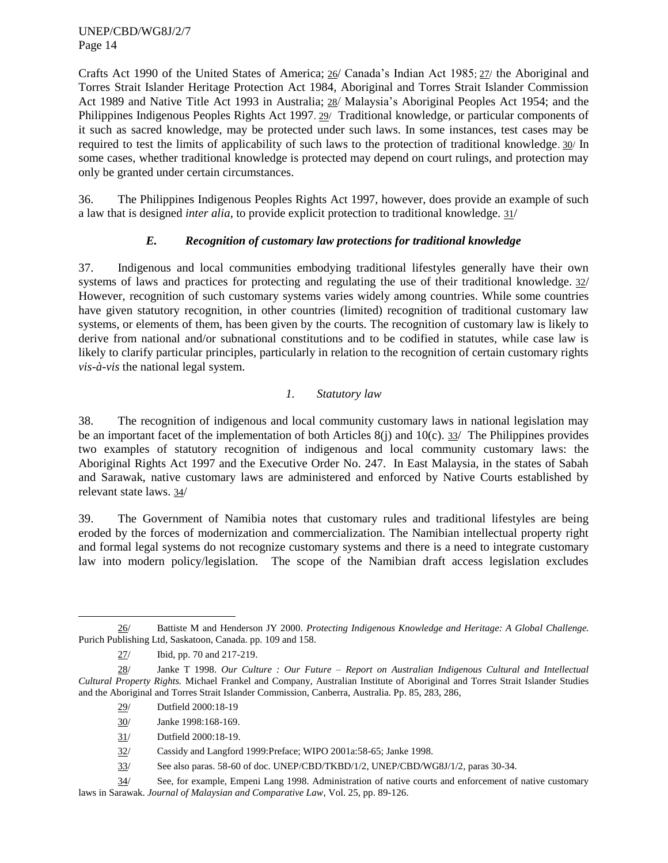Crafts Act 1990 of the United States of America; 26/ Canada's Indian Act 1985; 27/ the Aboriginal and Torres Strait Islander Heritage Protection Act 1984, Aboriginal and Torres Strait Islander Commission Act 1989 and Native Title Act 1993 in Australia; 28/ Malaysia's Aboriginal Peoples Act 1954; and the Philippines Indigenous Peoples Rights Act 1997. 29/ Traditional knowledge, or particular components of it such as sacred knowledge, may be protected under such laws. In some instances, test cases may be required to test the limits of applicability of such laws to the protection of traditional knowledge. 30/ In some cases, whether traditional knowledge is protected may depend on court rulings, and protection may only be granted under certain circumstances.

36. The Philippines Indigenous Peoples Rights Act 1997, however, does provide an example of such a law that is designed *inter alia*, to provide explicit protection to traditional knowledge. 31/

# *E. Recognition of customary law protections for traditional knowledge*

37. Indigenous and local communities embodying traditional lifestyles generally have their own systems of laws and practices for protecting and regulating the use of their traditional knowledge. 32/ However, recognition of such customary systems varies widely among countries. While some countries have given statutory recognition, in other countries (limited) recognition of traditional customary law systems, or elements of them, has been given by the courts. The recognition of customary law is likely to derive from national and/or subnational constitutions and to be codified in statutes, while case law is likely to clarify particular principles, particularly in relation to the recognition of certain customary rights *vis-à-vis* the national legal system.

# *1. Statutory law*

38. The recognition of indigenous and local community customary laws in national legislation may be an important facet of the implementation of both Articles  $8(i)$  and  $10(c)$ . 33/ The Philippines provides two examples of statutory recognition of indigenous and local community customary laws: the Aboriginal Rights Act 1997 and the Executive Order No. 247. In East Malaysia, in the states of Sabah and Sarawak, native customary laws are administered and enforced by Native Courts established by relevant state laws. 34/

39. The Government of Namibia notes that customary rules and traditional lifestyles are being eroded by the forces of modernization and commercialization. The Namibian intellectual property right and formal legal systems do not recognize customary systems and there is a need to integrate customary law into modern policy/legislation. The scope of the Namibian draft access legislation excludes

- 29/ Dutfield 2000:18-19
- 30/ Janke 1998:168-169.
- 31/ Dutfield 2000:18-19.

32/ Cassidy and Langford 1999:Preface; WIPO 2001a:58-65; Janke 1998.

33/ See also paras. 58-60 of doc. UNEP/CBD/TKBD/1/2, UNEP/CBD/WG8J/1/2, paras 30-34.

l 26/ Battiste M and Henderson JY 2000. *Protecting Indigenous Knowledge and Heritage: A Global Challenge.*  Purich Publishing Ltd, Saskatoon, Canada. pp. 109 and 158.

<sup>27/</sup> Ibid, pp. 70 and 217-219.

<sup>28/</sup> Janke T 1998. *Our Culture : Our Future – Report on Australian Indigenous Cultural and Intellectual Cultural Property Rights.* Michael Frankel and Company, Australian Institute of Aboriginal and Torres Strait Islander Studies and the Aboriginal and Torres Strait Islander Commission, Canberra, Australia. Pp. 85, 283, 286,

<sup>34/</sup> See, for example, Empeni Lang 1998. Administration of native courts and enforcement of native customary laws in Sarawak. *Journal of Malaysian and Comparative Law*, Vol. 25, pp. 89-126.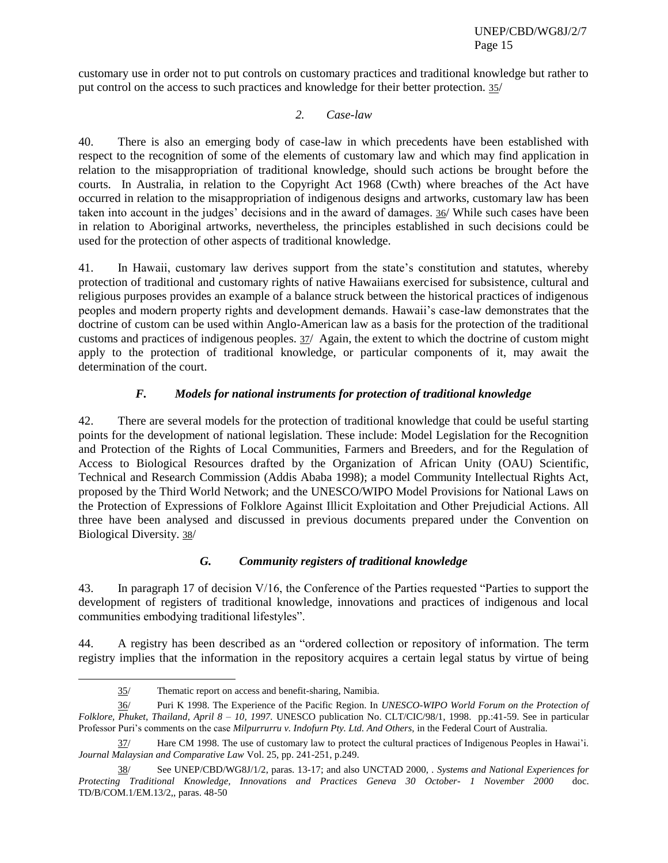customary use in order not to put controls on customary practices and traditional knowledge but rather to put control on the access to such practices and knowledge for their better protection. 35/

## *2. Case-law*

40. There is also an emerging body of case-law in which precedents have been established with respect to the recognition of some of the elements of customary law and which may find application in relation to the misappropriation of traditional knowledge, should such actions be brought before the courts. In Australia, in relation to the Copyright Act 1968 (Cwth) where breaches of the Act have occurred in relation to the misappropriation of indigenous designs and artworks, customary law has been taken into account in the judges' decisions and in the award of damages. 36/ While such cases have been in relation to Aboriginal artworks, nevertheless, the principles established in such decisions could be used for the protection of other aspects of traditional knowledge.

41. In Hawaii, customary law derives support from the state's constitution and statutes, whereby protection of traditional and customary rights of native Hawaiians exercised for subsistence, cultural and religious purposes provides an example of a balance struck between the historical practices of indigenous peoples and modern property rights and development demands. Hawaii's case-law demonstrates that the doctrine of custom can be used within Anglo-American law as a basis for the protection of the traditional customs and practices of indigenous peoples. 37/ Again, the extent to which the doctrine of custom might apply to the protection of traditional knowledge, or particular components of it, may await the determination of the court.

# *F. Models for national instruments for protection of traditional knowledge*

42. There are several models for the protection of traditional knowledge that could be useful starting points for the development of national legislation. These include: Model Legislation for the Recognition and Protection of the Rights of Local Communities, Farmers and Breeders, and for the Regulation of Access to Biological Resources drafted by the Organization of African Unity (OAU) Scientific, Technical and Research Commission (Addis Ababa 1998); a model Community Intellectual Rights Act, proposed by the Third World Network; and the UNESCO/WIPO Model Provisions for National Laws on the Protection of Expressions of Folklore Against Illicit Exploitation and Other Prejudicial Actions. All three have been analysed and discussed in previous documents prepared under the Convention on Biological Diversity. 38/

# *G. Community registers of traditional knowledge*

43. In paragraph 17 of decision V/16, the Conference of the Parties requested "Parties to support the development of registers of traditional knowledge, innovations and practices of indigenous and local communities embodying traditional lifestyles".

44. A registry has been described as an "ordered collection or repository of information. The term registry implies that the information in the repository acquires a certain legal status by virtue of being

<sup>35/</sup> Thematic report on access and benefit-sharing, Namibia.

<sup>36/</sup> Puri K 1998. The Experience of the Pacific Region. In *UNESCO-WIPO World Forum on the Protection of Folklore, Phuket, Thailand, April 8 – 10, 1997.* UNESCO publication No. CLT/CIC/98/1, 1998. pp.:41-59. See in particular Professor Puri's comments on the case *Milpurrurru v. Indofurn Pty. Ltd. And Others,* in the Federal Court of Australia.

<sup>37/</sup> Hare CM 1998. The use of customary law to protect the cultural practices of Indigenous Peoples in Hawai'i. *Journal Malaysian and Comparative Law* Vol. 25, pp. 241-251, p.249.

<sup>38/</sup> See UNEP/CBD/WG8J/1/2, paras. 13-17; and also UNCTAD 2000, *. Systems and National Experiences for Protecting Traditional Knowledge, Innovations and Practices Geneva 30 October- 1 November 2000* doc. TD/B/COM.1/EM.13/2,, paras. 48-50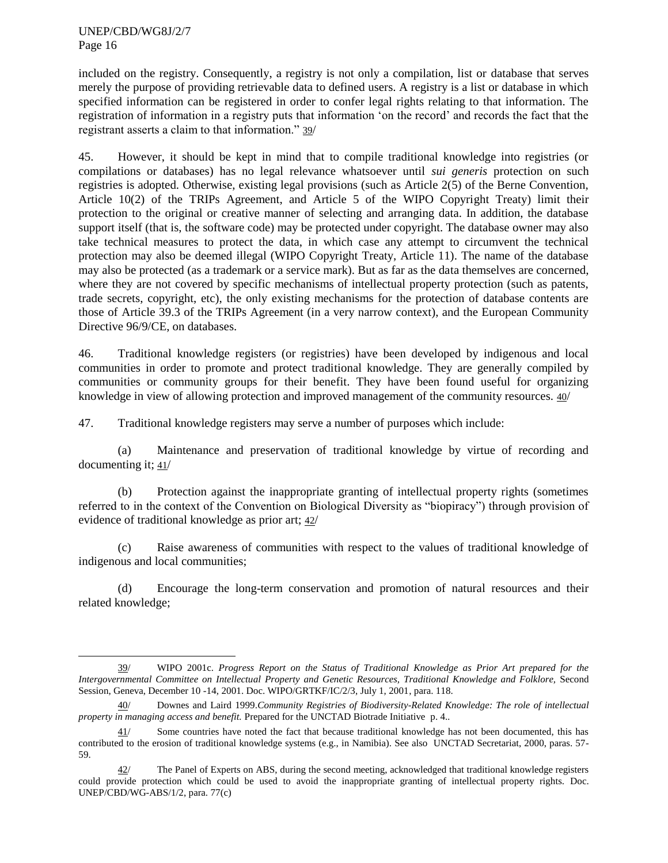$\overline{a}$ 

included on the registry. Consequently, a registry is not only a compilation, list or database that serves merely the purpose of providing retrievable data to defined users. A registry is a list or database in which specified information can be registered in order to confer legal rights relating to that information. The registration of information in a registry puts that information 'on the record' and records the fact that the registrant asserts a claim to that information." 39/

45. However, it should be kept in mind that to compile traditional knowledge into registries (or compilations or databases) has no legal relevance whatsoever until *sui generis* protection on such registries is adopted. Otherwise, existing legal provisions (such as Article 2(5) of the Berne Convention, Article 10(2) of the TRIPs Agreement, and Article 5 of the WIPO Copyright Treaty) limit their protection to the original or creative manner of selecting and arranging data. In addition, the database support itself (that is, the software code) may be protected under copyright. The database owner may also take technical measures to protect the data, in which case any attempt to circumvent the technical protection may also be deemed illegal (WIPO Copyright Treaty, Article 11). The name of the database may also be protected (as a trademark or a service mark). But as far as the data themselves are concerned, where they are not covered by specific mechanisms of intellectual property protection (such as patents, trade secrets, copyright, etc), the only existing mechanisms for the protection of database contents are those of Article 39.3 of the TRIPs Agreement (in a very narrow context), and the European Community Directive 96/9/CE, on databases.

46. Traditional knowledge registers (or registries) have been developed by indigenous and local communities in order to promote and protect traditional knowledge. They are generally compiled by communities or community groups for their benefit. They have been found useful for organizing knowledge in view of allowing protection and improved management of the community resources. 40/

47. Traditional knowledge registers may serve a number of purposes which include:

(a) Maintenance and preservation of traditional knowledge by virtue of recording and documenting it; 41/

(b) Protection against the inappropriate granting of intellectual property rights (sometimes referred to in the context of the Convention on Biological Diversity as "biopiracy") through provision of evidence of traditional knowledge as prior art; 42/

(c) Raise awareness of communities with respect to the values of traditional knowledge of indigenous and local communities;

(d) Encourage the long-term conservation and promotion of natural resources and their related knowledge;

<sup>39/</sup> WIPO 2001c. *Progress Report on the Status of Traditional Knowledge as Prior Art prepared for the Intergovernmental Committee on Intellectual Property and Genetic Resources, Traditional Knowledge and Folklore,* Second Session, Geneva, December 10 -14, 2001. Doc. WIPO/GRTKF/IC/2/3, July 1, 2001, para. 118.

<sup>40/</sup> Downes and Laird 1999.*Community Registries of Biodiversity-Related Knowledge: The role of intellectual property in managing access and benefit.* Prepared for the UNCTAD Biotrade Initiative p. 4.*.*

 $41/$  Some countries have noted the fact that because traditional knowledge has not been documented, this has contributed to the erosion of traditional knowledge systems (e.g., in Namibia). See also UNCTAD Secretariat, 2000, paras. 57- 59.

 $42/$  The Panel of Experts on ABS, during the second meeting, acknowledged that traditional knowledge registers could provide protection which could be used to avoid the inappropriate granting of intellectual property rights. Doc. UNEP/CBD/WG-ABS/1/2, para. 77(c)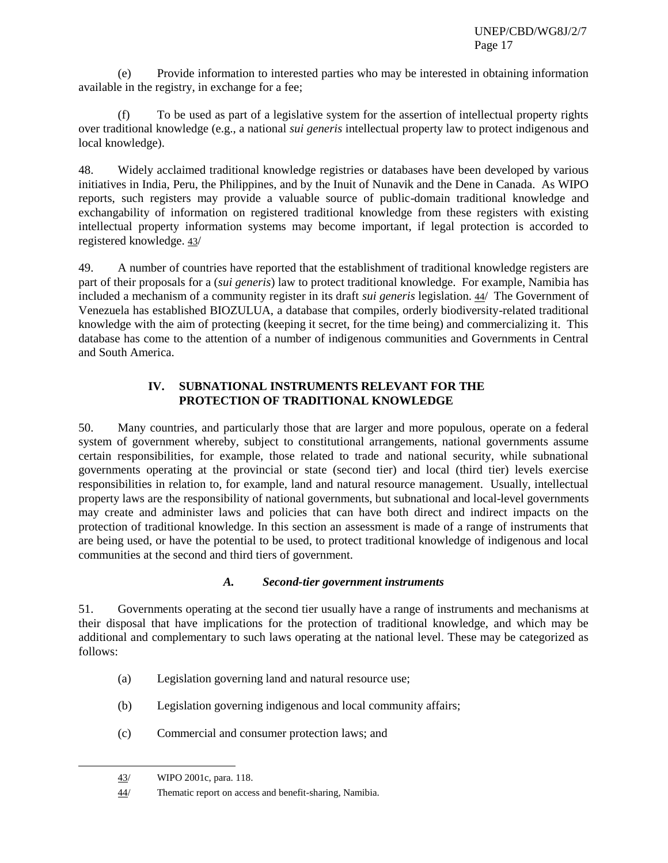(e) Provide information to interested parties who may be interested in obtaining information available in the registry, in exchange for a fee;

(f) To be used as part of a legislative system for the assertion of intellectual property rights over traditional knowledge (e.g., a national *sui generis* intellectual property law to protect indigenous and local knowledge).

48. Widely acclaimed traditional knowledge registries or databases have been developed by various initiatives in India, Peru, the Philippines, and by the Inuit of Nunavik and the Dene in Canada. As WIPO reports, such registers may provide a valuable source of public-domain traditional knowledge and exchangability of information on registered traditional knowledge from these registers with existing intellectual property information systems may become important, if legal protection is accorded to registered knowledge. 43/

49. A number of countries have reported that the establishment of traditional knowledge registers are part of their proposals for a (*sui generis*) law to protect traditional knowledge. For example, Namibia has included a mechanism of a community register in its draft *sui generis* legislation. 44/ The Government of Venezuela has established BIOZULUA, a database that compiles, orderly biodiversity-related traditional knowledge with the aim of protecting (keeping it secret, for the time being) and commercializing it. This database has come to the attention of a number of indigenous communities and Governments in Central and South America.

## **IV. SUBNATIONAL INSTRUMENTS RELEVANT FOR THE PROTECTION OF TRADITIONAL KNOWLEDGE**

50. Many countries, and particularly those that are larger and more populous, operate on a federal system of government whereby, subject to constitutional arrangements, national governments assume certain responsibilities, for example, those related to trade and national security, while subnational governments operating at the provincial or state (second tier) and local (third tier) levels exercise responsibilities in relation to, for example, land and natural resource management. Usually, intellectual property laws are the responsibility of national governments, but subnational and local-level governments may create and administer laws and policies that can have both direct and indirect impacts on the protection of traditional knowledge. In this section an assessment is made of a range of instruments that are being used, or have the potential to be used, to protect traditional knowledge of indigenous and local communities at the second and third tiers of government.

#### *A. Second-tier government instruments*

51. Governments operating at the second tier usually have a range of instruments and mechanisms at their disposal that have implications for the protection of traditional knowledge, and which may be additional and complementary to such laws operating at the national level. These may be categorized as follows:

- (a) Legislation governing land and natural resource use;
- (b) Legislation governing indigenous and local community affairs;
- (c) Commercial and consumer protection laws; and

<sup>43/</sup> WIPO 2001c, para. 118.

<sup>44/</sup> Thematic report on access and benefit-sharing, Namibia.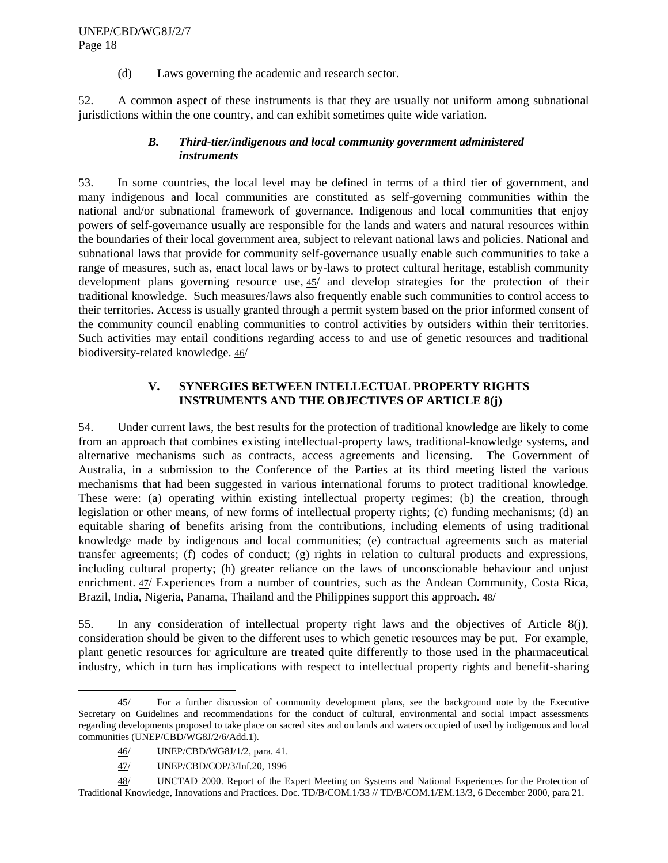(d) Laws governing the academic and research sector.

52. A common aspect of these instruments is that they are usually not uniform among subnational jurisdictions within the one country, and can exhibit sometimes quite wide variation.

## *B. Third-tier/indigenous and local community government administered instruments*

53. In some countries, the local level may be defined in terms of a third tier of government, and many indigenous and local communities are constituted as self-governing communities within the national and/or subnational framework of governance. Indigenous and local communities that enjoy powers of self-governance usually are responsible for the lands and waters and natural resources within the boundaries of their local government area, subject to relevant national laws and policies. National and subnational laws that provide for community self-governance usually enable such communities to take a range of measures, such as, enact local laws or by-laws to protect cultural heritage, establish community development plans governing resource use, 45/ and develop strategies for the protection of their traditional knowledge. Such measures/laws also frequently enable such communities to control access to their territories. Access is usually granted through a permit system based on the prior informed consent of the community council enabling communities to control activities by outsiders within their territories. Such activities may entail conditions regarding access to and use of genetic resources and traditional biodiversity-related knowledge. 46/

# **V. SYNERGIES BETWEEN INTELLECTUAL PROPERTY RIGHTS INSTRUMENTS AND THE OBJECTIVES OF ARTICLE 8(j)**

54. Under current laws, the best results for the protection of traditional knowledge are likely to come from an approach that combines existing intellectual-property laws, traditional-knowledge systems, and alternative mechanisms such as contracts, access agreements and licensing. The Government of Australia, in a submission to the Conference of the Parties at its third meeting listed the various mechanisms that had been suggested in various international forums to protect traditional knowledge. These were: (a) operating within existing intellectual property regimes; (b) the creation, through legislation or other means, of new forms of intellectual property rights; (c) funding mechanisms; (d) an equitable sharing of benefits arising from the contributions, including elements of using traditional knowledge made by indigenous and local communities; (e) contractual agreements such as material transfer agreements; (f) codes of conduct; (g) rights in relation to cultural products and expressions, including cultural property; (h) greater reliance on the laws of unconscionable behaviour and unjust enrichment. 47/ Experiences from a number of countries, such as the Andean Community, Costa Rica, Brazil, India, Nigeria, Panama, Thailand and the Philippines support this approach. 48/

55. In any consideration of intellectual property right laws and the objectives of Article 8(j), consideration should be given to the different uses to which genetic resources may be put. For example, plant genetic resources for agriculture are treated quite differently to those used in the pharmaceutical industry, which in turn has implications with respect to intellectual property rights and benefit-sharing

<sup>45/</sup> For a further discussion of community development plans, see the background note by the Executive Secretary on Guidelines and recommendations for the conduct of cultural, environmental and social impact assessments regarding developments proposed to take place on sacred sites and on lands and waters occupied of used by indigenous and local communities (UNEP/CBD/WG8J/2/6/Add.1)*.*

<sup>46/</sup> UNEP/CBD/WG8J/1/2, para. 41.

<sup>47/</sup> UNEP/CBD/COP/3/Inf.20, 1996

<sup>48/</sup> UNCTAD 2000. Report of the Expert Meeting on Systems and National Experiences for the Protection of Traditional Knowledge, Innovations and Practices. Doc. TD/B/COM.1/33 // TD/B/COM.1/EM.13/3, 6 December 2000, para 21.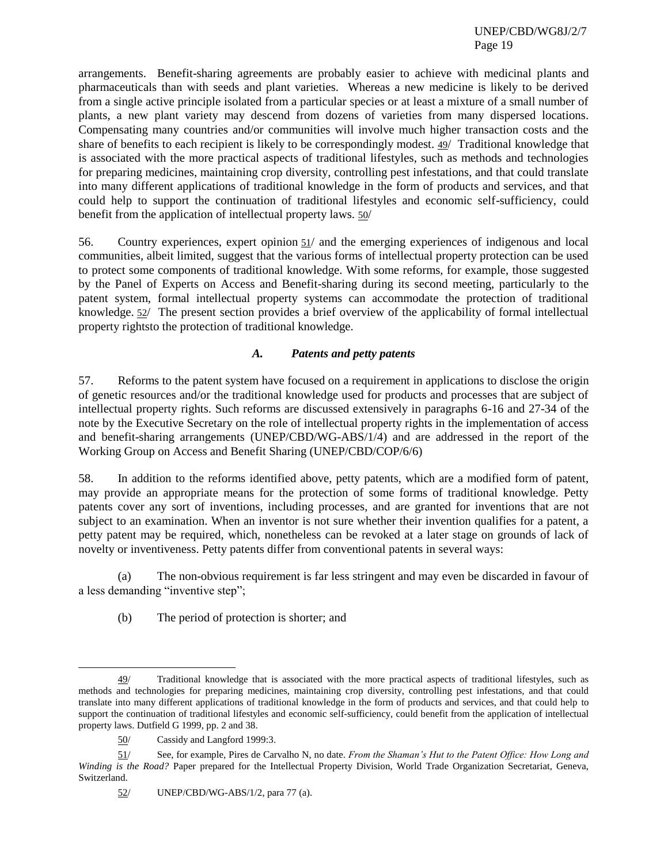arrangements. Benefit-sharing agreements are probably easier to achieve with medicinal plants and pharmaceuticals than with seeds and plant varieties. Whereas a new medicine is likely to be derived from a single active principle isolated from a particular species or at least a mixture of a small number of plants, a new plant variety may descend from dozens of varieties from many dispersed locations. Compensating many countries and/or communities will involve much higher transaction costs and the share of benefits to each recipient is likely to be correspondingly modest. 49/ Traditional knowledge that is associated with the more practical aspects of traditional lifestyles, such as methods and technologies for preparing medicines, maintaining crop diversity, controlling pest infestations, and that could translate into many different applications of traditional knowledge in the form of products and services, and that could help to support the continuation of traditional lifestyles and economic self-sufficiency, could benefit from the application of intellectual property laws. 50/

56. Country experiences, expert opinion 51/ and the emerging experiences of indigenous and local communities, albeit limited, suggest that the various forms of intellectual property protection can be used to protect some components of traditional knowledge. With some reforms, for example, those suggested by the Panel of Experts on Access and Benefit-sharing during its second meeting, particularly to the patent system, formal intellectual property systems can accommodate the protection of traditional knowledge. 52/ The present section provides a brief overview of the applicability of formal intellectual property rightsto the protection of traditional knowledge.

# *A. Patents and petty patents*

57. Reforms to the patent system have focused on a requirement in applications to disclose the origin of genetic resources and/or the traditional knowledge used for products and processes that are subject of intellectual property rights. Such reforms are discussed extensively in paragraphs 6-16 and 27-34 of the note by the Executive Secretary on the role of intellectual property rights in the implementation of access and benefit-sharing arrangements (UNEP/CBD/WG-ABS/1/4) and are addressed in the report of the Working Group on Access and Benefit Sharing (UNEP/CBD/COP/6/6)

58. In addition to the reforms identified above, petty patents, which are a modified form of patent, may provide an appropriate means for the protection of some forms of traditional knowledge. Petty patents cover any sort of inventions, including processes, and are granted for inventions that are not subject to an examination. When an inventor is not sure whether their invention qualifies for a patent, a petty patent may be required, which, nonetheless can be revoked at a later stage on grounds of lack of novelty or inventiveness. Petty patents differ from conventional patents in several ways:

(a) The non-obvious requirement is far less stringent and may even be discarded in favour of a less demanding "inventive step";

(b) The period of protection is shorter; and

<sup>49/</sup> Traditional knowledge that is associated with the more practical aspects of traditional lifestyles, such as methods and technologies for preparing medicines, maintaining crop diversity, controlling pest infestations, and that could translate into many different applications of traditional knowledge in the form of products and services, and that could help to support the continuation of traditional lifestyles and economic self-sufficiency, could benefit from the application of intellectual property laws. Dutfield G 1999, pp. 2 and 38.

<sup>50/</sup> Cassidy and Langford 1999:3.

<sup>51/</sup> See, for example, Pires de Carvalho N, no date. *From the Shaman's Hut to the Patent Office: How Long and Winding is the Road?* Paper prepared for the Intellectual Property Division, World Trade Organization Secretariat, Geneva, Switzerland.

<sup>52/</sup> UNEP/CBD/WG-ABS/1/2, para 77 (a).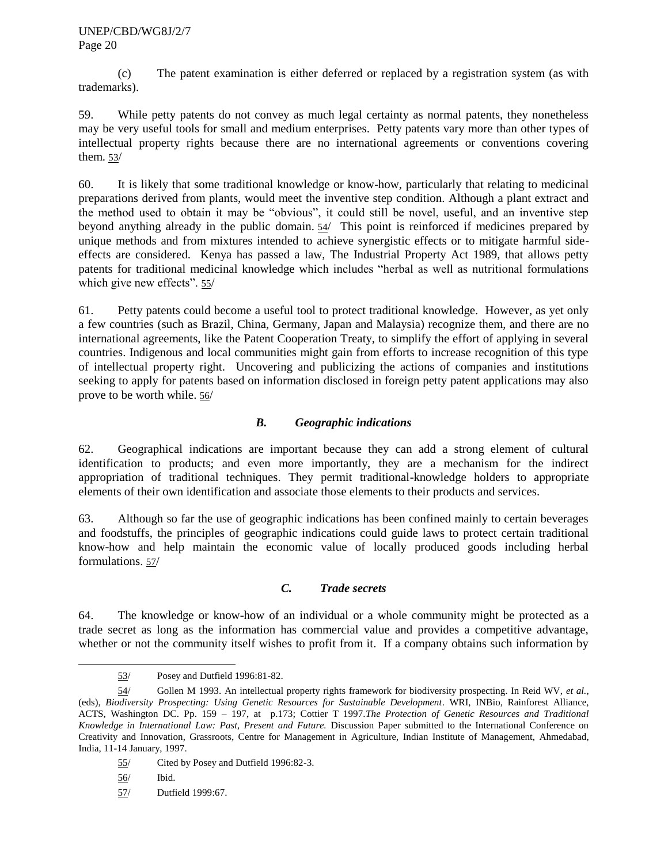(c) The patent examination is either deferred or replaced by a registration system (as with trademarks).

59. While petty patents do not convey as much legal certainty as normal patents, they nonetheless may be very useful tools for small and medium enterprises. Petty patents vary more than other types of intellectual property rights because there are no international agreements or conventions covering them. 53/

60. It is likely that some traditional knowledge or know-how, particularly that relating to medicinal preparations derived from plants, would meet the inventive step condition. Although a plant extract and the method used to obtain it may be "obvious", it could still be novel, useful, and an inventive step beyond anything already in the public domain. 54/ This point is reinforced if medicines prepared by unique methods and from mixtures intended to achieve synergistic effects or to mitigate harmful sideeffects are considered. Kenya has passed a law, The Industrial Property Act 1989, that allows petty patents for traditional medicinal knowledge which includes "herbal as well as nutritional formulations which give new effects". 55/

61. Petty patents could become a useful tool to protect traditional knowledge. However, as yet only a few countries (such as Brazil, China, Germany, Japan and Malaysia) recognize them, and there are no international agreements, like the Patent Cooperation Treaty, to simplify the effort of applying in several countries. Indigenous and local communities might gain from efforts to increase recognition of this type of intellectual property right. Uncovering and publicizing the actions of companies and institutions seeking to apply for patents based on information disclosed in foreign petty patent applications may also prove to be worth while. 56/

# *B. Geographic indications*

62. Geographical indications are important because they can add a strong element of cultural identification to products; and even more importantly, they are a mechanism for the indirect appropriation of traditional techniques. They permit traditional-knowledge holders to appropriate elements of their own identification and associate those elements to their products and services.

63. Although so far the use of geographic indications has been confined mainly to certain beverages and foodstuffs, the principles of geographic indications could guide laws to protect certain traditional know-how and help maintain the economic value of locally produced goods including herbal formulations. 57/

#### *C. Trade secrets*

64. The knowledge or know-how of an individual or a whole community might be protected as a trade secret as long as the information has commercial value and provides a competitive advantage, whether or not the community itself wishes to profit from it. If a company obtains such information by

<sup>53/</sup> Posey and Dutfield 1996:81-82.

<sup>54/</sup> Gollen M 1993. An intellectual property rights framework for biodiversity prospecting. In Reid WV, *et al.,* (eds), *Biodiversity Prospecting: Using Genetic Resources for Sustainable Development*. WRI, INBio, Rainforest Alliance, ACTS, Washington DC. Pp. 159 – 197, at p.173; Cottier T 1997.*The Protection of Genetic Resources and Traditional Knowledge in International Law: Past, Present and Future.* Discussion Paper submitted to the International Conference on Creativity and Innovation, Grassroots, Centre for Management in Agriculture, Indian Institute of Management, Ahmedabad, India, 11-14 January, 1997.

<sup>55/</sup> Cited by Posey and Dutfield 1996:82-3.

<sup>56/</sup> Ibid.

<sup>57/</sup> Dutfield 1999:67.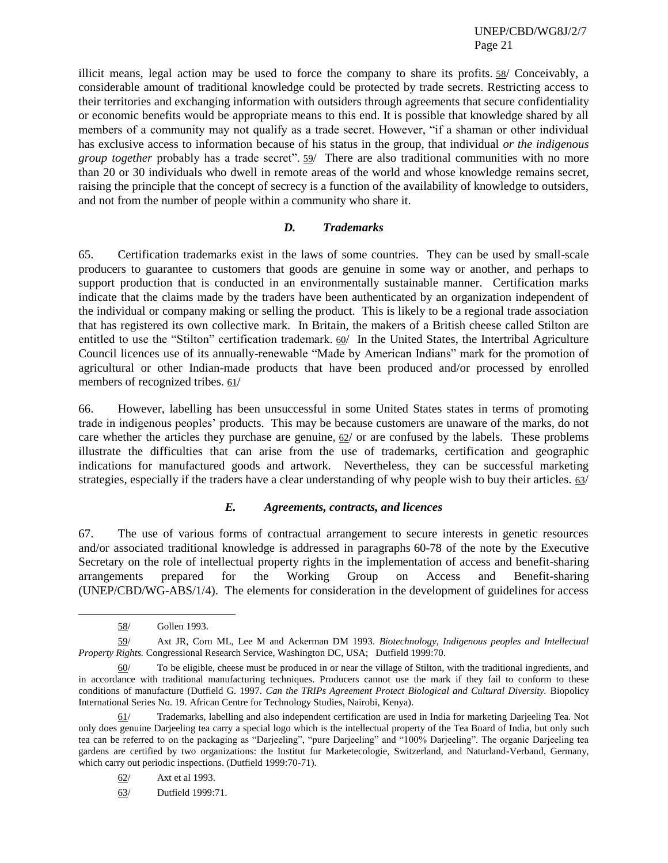illicit means, legal action may be used to force the company to share its profits. 58/ Conceivably, a considerable amount of traditional knowledge could be protected by trade secrets. Restricting access to their territories and exchanging information with outsiders through agreements that secure confidentiality or economic benefits would be appropriate means to this end. It is possible that knowledge shared by all members of a community may not qualify as a trade secret. However, "if a shaman or other individual has exclusive access to information because of his status in the group, that individual *or the indigenous group together* probably has a trade secret". 59/ There are also traditional communities with no more than 20 or 30 individuals who dwell in remote areas of the world and whose knowledge remains secret, raising the principle that the concept of secrecy is a function of the availability of knowledge to outsiders, and not from the number of people within a community who share it.

#### *D. Trademarks*

65. Certification trademarks exist in the laws of some countries. They can be used by small-scale producers to guarantee to customers that goods are genuine in some way or another, and perhaps to support production that is conducted in an environmentally sustainable manner. Certification marks indicate that the claims made by the traders have been authenticated by an organization independent of the individual or company making or selling the product. This is likely to be a regional trade association that has registered its own collective mark. In Britain, the makers of a British cheese called Stilton are entitled to use the "Stilton" certification trademark. 60/ In the United States, the Intertribal Agriculture Council licences use of its annually-renewable "Made by American Indians" mark for the promotion of agricultural or other Indian-made products that have been produced and/or processed by enrolled members of recognized tribes. 61/

66. However, labelling has been unsuccessful in some United States states in terms of promoting trade in indigenous peoples' products. This may be because customers are unaware of the marks, do not care whether the articles they purchase are genuine,  $62/$  or are confused by the labels. These problems illustrate the difficulties that can arise from the use of trademarks, certification and geographic indications for manufactured goods and artwork. Nevertheless, they can be successful marketing strategies, especially if the traders have a clear understanding of why people wish to buy their articles. 63/

#### *E. Agreements, contracts, and licences*

67. The use of various forms of contractual arrangement to secure interests in genetic resources and/or associated traditional knowledge is addressed in paragraphs 60-78 of the note by the Executive Secretary on the role of intellectual property rights in the implementation of access and benefit-sharing arrangements prepared for the Working Group on Access and Benefit-sharing (UNEP/CBD/WG-ABS/1/4). The elements for consideration in the development of guidelines for access

<sup>58/</sup> Gollen 1993.

<sup>59/</sup> Axt JR, Corn ML, Lee M and Ackerman DM 1993. *Biotechnology, Indigenous peoples and Intellectual Property Rights.* Congressional Research Service, Washington DC, USA; Dutfield 1999:70.

<sup>60/</sup> To be eligible, cheese must be produced in or near the village of Stilton, with the traditional ingredients, and in accordance with traditional manufacturing techniques. Producers cannot use the mark if they fail to conform to these conditions of manufacture (Dutfield G. 1997. *Can the TRIPs Agreement Protect Biological and Cultural Diversity.* Biopolicy International Series No. 19. African Centre for Technology Studies, Nairobi, Kenya).

<sup>61/</sup> Trademarks, labelling and also independent certification are used in India for marketing Darjeeling Tea. Not only does genuine Darjeeling tea carry a special logo which is the intellectual property of the Tea Board of India, but only such tea can be referred to on the packaging as "Darjeeling", "pure Darjeeling" and "100% Darjeeling". The organic Darjeeling tea gardens are certified by two organizations: the Institut fur Marketecologie, Switzerland, and Naturland-Verband, Germany, which carry out periodic inspections. (Dutfield 1999:70-71).

<sup>62/</sup> Axt et al 1993.

<sup>63/</sup> Dutfield 1999:71.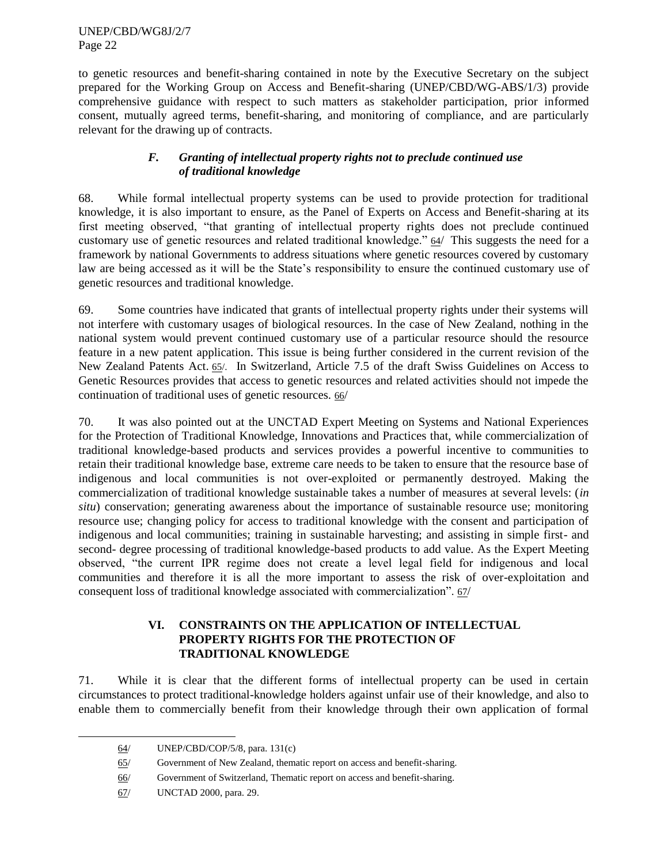to genetic resources and benefit-sharing contained in note by the Executive Secretary on the subject prepared for the Working Group on Access and Benefit-sharing (UNEP/CBD/WG-ABS/1/3) provide comprehensive guidance with respect to such matters as stakeholder participation, prior informed consent, mutually agreed terms, benefit-sharing, and monitoring of compliance, and are particularly relevant for the drawing up of contracts.

# *F. Granting of intellectual property rights not to preclude continued use of traditional knowledge*

68. While formal intellectual property systems can be used to provide protection for traditional knowledge, it is also important to ensure, as the Panel of Experts on Access and Benefit-sharing at its first meeting observed, "that granting of intellectual property rights does not preclude continued customary use of genetic resources and related traditional knowledge." 64/ This suggests the need for a framework by national Governments to address situations where genetic resources covered by customary law are being accessed as it will be the State's responsibility to ensure the continued customary use of genetic resources and traditional knowledge.

69. Some countries have indicated that grants of intellectual property rights under their systems will not interfere with customary usages of biological resources. In the case of New Zealand, nothing in the national system would prevent continued customary use of a particular resource should the resource feature in a new patent application. This issue is being further considered in the current revision of the New Zealand Patents Act. 65/. In Switzerland, Article 7.5 of the draft Swiss Guidelines on Access to Genetic Resources provides that access to genetic resources and related activities should not impede the continuation of traditional uses of genetic resources. 66/

70. It was also pointed out at the UNCTAD Expert Meeting on Systems and National Experiences for the Protection of Traditional Knowledge, Innovations and Practices that, while commercialization of traditional knowledge-based products and services provides a powerful incentive to communities to retain their traditional knowledge base, extreme care needs to be taken to ensure that the resource base of indigenous and local communities is not over-exploited or permanently destroyed. Making the commercialization of traditional knowledge sustainable takes a number of measures at several levels: (*in situ*) conservation; generating awareness about the importance of sustainable resource use; monitoring resource use; changing policy for access to traditional knowledge with the consent and participation of indigenous and local communities; training in sustainable harvesting; and assisting in simple first- and second- degree processing of traditional knowledge-based products to add value. As the Expert Meeting observed, "the current IPR regime does not create a level legal field for indigenous and local communities and therefore it is all the more important to assess the risk of over-exploitation and consequent loss of traditional knowledge associated with commercialization".  $67/$ 

# **VI. CONSTRAINTS ON THE APPLICATION OF INTELLECTUAL PROPERTY RIGHTS FOR THE PROTECTION OF TRADITIONAL KNOWLEDGE**

71. While it is clear that the different forms of intellectual property can be used in certain circumstances to protect traditional-knowledge holders against unfair use of their knowledge, and also to enable them to commercially benefit from their knowledge through their own application of formal

<sup>64/</sup> UNEP/CBD/COP/5/8, para. 131(c)

<sup>65/</sup> Government of New Zealand, thematic report on access and benefit-sharing.

<sup>66/</sup> Government of Switzerland, Thematic report on access and benefit-sharing.

<sup>67/</sup> UNCTAD 2000, para. 29.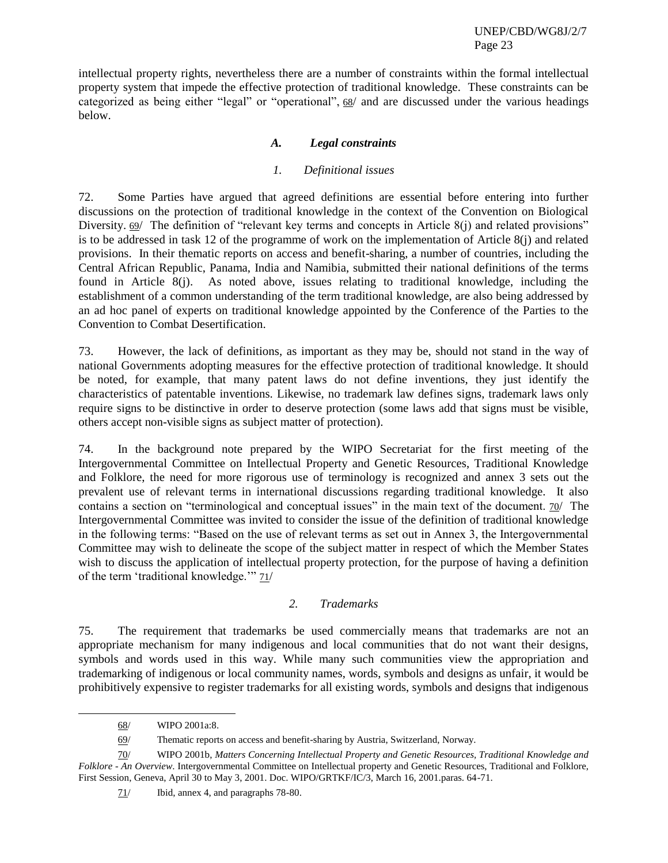intellectual property rights, nevertheless there are a number of constraints within the formal intellectual property system that impede the effective protection of traditional knowledge. These constraints can be categorized as being either "legal" or "operational",  $68/$  and are discussed under the various headings below.

# *A. Legal constraints*

#### *1. Definitional issues*

72. Some Parties have argued that agreed definitions are essential before entering into further discussions on the protection of traditional knowledge in the context of the Convention on Biological Diversity.  $69/$  The definition of "relevant key terms and concepts in Article  $8(i)$  and related provisions" is to be addressed in task 12 of the programme of work on the implementation of Article 8(j) and related provisions. In their thematic reports on access and benefit-sharing, a number of countries, including the Central African Republic, Panama, India and Namibia, submitted their national definitions of the terms found in Article 8(j). As noted above, issues relating to traditional knowledge, including the establishment of a common understanding of the term traditional knowledge, are also being addressed by an ad hoc panel of experts on traditional knowledge appointed by the Conference of the Parties to the Convention to Combat Desertification.

73. However, the lack of definitions, as important as they may be, should not stand in the way of national Governments adopting measures for the effective protection of traditional knowledge. It should be noted, for example, that many patent laws do not define inventions, they just identify the characteristics of patentable inventions. Likewise, no trademark law defines signs, trademark laws only require signs to be distinctive in order to deserve protection (some laws add that signs must be visible, others accept non-visible signs as subject matter of protection).

74. In the background note prepared by the WIPO Secretariat for the first meeting of the Intergovernmental Committee on Intellectual Property and Genetic Resources, Traditional Knowledge and Folklore, the need for more rigorous use of terminology is recognized and annex 3 sets out the prevalent use of relevant terms in international discussions regarding traditional knowledge. It also contains a section on "terminological and conceptual issues" in the main text of the document. 70/ The Intergovernmental Committee was invited to consider the issue of the definition of traditional knowledge in the following terms: "Based on the use of relevant terms as set out in Annex 3, the Intergovernmental Committee may wish to delineate the scope of the subject matter in respect of which the Member States wish to discuss the application of intellectual property protection, for the purpose of having a definition of the term 'traditional knowledge.'" 71/

#### *2. Trademarks*

75. The requirement that trademarks be used commercially means that trademarks are not an appropriate mechanism for many indigenous and local communities that do not want their designs, symbols and words used in this way. While many such communities view the appropriation and trademarking of indigenous or local community names, words, symbols and designs as unfair, it would be prohibitively expensive to register trademarks for all existing words, symbols and designs that indigenous

l

71/ Ibid, annex 4, and paragraphs 78-80.

<sup>68/</sup> WIPO 2001a:8.

<sup>69/</sup> Thematic reports on access and benefit-sharing by Austria, Switzerland, Norway.

<sup>70/</sup> WIPO 2001b, *Matters Concerning Intellectual Property and Genetic Resources, Traditional Knowledge and Folklore - An Overview*. Intergovernmental Committee on Intellectual property and Genetic Resources, Traditional and Folklore, First Session, Geneva, April 30 to May 3, 2001. Doc. WIPO/GRTKF/IC/3, March 16, 2001.paras. 64-71.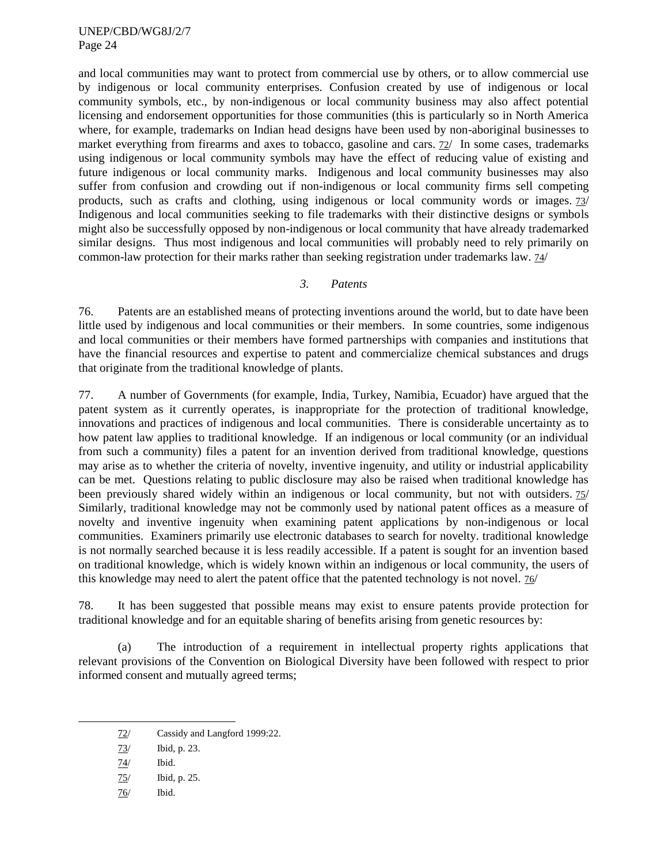and local communities may want to protect from commercial use by others, or to allow commercial use by indigenous or local community enterprises. Confusion created by use of indigenous or local community symbols, etc., by non-indigenous or local community business may also affect potential licensing and endorsement opportunities for those communities (this is particularly so in North America where, for example, trademarks on Indian head designs have been used by non-aboriginal businesses to market everything from firearms and axes to tobacco, gasoline and cars. 72/ In some cases, trademarks using indigenous or local community symbols may have the effect of reducing value of existing and future indigenous or local community marks. Indigenous and local community businesses may also suffer from confusion and crowding out if non-indigenous or local community firms sell competing products, such as crafts and clothing, using indigenous or local community words or images. 73/ Indigenous and local communities seeking to file trademarks with their distinctive designs or symbols might also be successfully opposed by non-indigenous or local community that have already trademarked similar designs. Thus most indigenous and local communities will probably need to rely primarily on common-law protection for their marks rather than seeking registration under trademarks law. 74/

## *3. Patents*

76. Patents are an established means of protecting inventions around the world, but to date have been little used by indigenous and local communities or their members. In some countries, some indigenous and local communities or their members have formed partnerships with companies and institutions that have the financial resources and expertise to patent and commercialize chemical substances and drugs that originate from the traditional knowledge of plants.

77. A number of Governments (for example, India, Turkey, Namibia, Ecuador) have argued that the patent system as it currently operates, is inappropriate for the protection of traditional knowledge, innovations and practices of indigenous and local communities. There is considerable uncertainty as to how patent law applies to traditional knowledge. If an indigenous or local community (or an individual from such a community) files a patent for an invention derived from traditional knowledge, questions may arise as to whether the criteria of novelty, inventive ingenuity, and utility or industrial applicability can be met. Questions relating to public disclosure may also be raised when traditional knowledge has been previously shared widely within an indigenous or local community, but not with outsiders. 75/ Similarly, traditional knowledge may not be commonly used by national patent offices as a measure of novelty and inventive ingenuity when examining patent applications by non-indigenous or local communities. Examiners primarily use electronic databases to search for novelty. traditional knowledge is not normally searched because it is less readily accessible. If a patent is sought for an invention based on traditional knowledge, which is widely known within an indigenous or local community, the users of this knowledge may need to alert the patent office that the patented technology is not novel. 76/

78. It has been suggested that possible means may exist to ensure patents provide protection for traditional knowledge and for an equitable sharing of benefits arising from genetic resources by:

(a) The introduction of a requirement in intellectual property rights applications that relevant provisions of the Convention on Biological Diversity have been followed with respect to prior informed consent and mutually agreed terms;

- 72/ Cassidy and Langford 1999:22.
- 73/ Ibid, p. 23.
- 74/ Ibid.

- 75/ Ibid, p. 25.
- 76/ Ibid.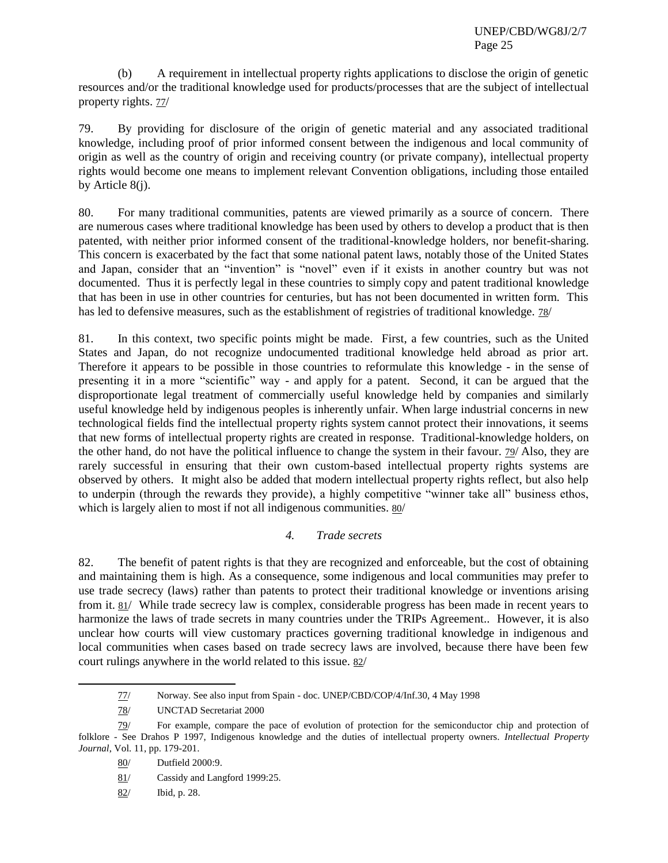(b) A requirement in intellectual property rights applications to disclose the origin of genetic resources and/or the traditional knowledge used for products/processes that are the subject of intellectual property rights.  $77/$ 

79. By providing for disclosure of the origin of genetic material and any associated traditional knowledge, including proof of prior informed consent between the indigenous and local community of origin as well as the country of origin and receiving country (or private company), intellectual property rights would become one means to implement relevant Convention obligations, including those entailed by Article 8(j).

80. For many traditional communities, patents are viewed primarily as a source of concern. There are numerous cases where traditional knowledge has been used by others to develop a product that is then patented, with neither prior informed consent of the traditional-knowledge holders, nor benefit-sharing. This concern is exacerbated by the fact that some national patent laws, notably those of the United States and Japan, consider that an "invention" is "novel" even if it exists in another country but was not documented. Thus it is perfectly legal in these countries to simply copy and patent traditional knowledge that has been in use in other countries for centuries, but has not been documented in written form. This has led to defensive measures, such as the establishment of registries of traditional knowledge. 78/

81. In this context, two specific points might be made. First, a few countries, such as the United States and Japan, do not recognize undocumented traditional knowledge held abroad as prior art. Therefore it appears to be possible in those countries to reformulate this knowledge - in the sense of presenting it in a more "scientific" way - and apply for a patent. Second, it can be argued that the disproportionate legal treatment of commercially useful knowledge held by companies and similarly useful knowledge held by indigenous peoples is inherently unfair. When large industrial concerns in new technological fields find the intellectual property rights system cannot protect their innovations, it seems that new forms of intellectual property rights are created in response. Traditional-knowledge holders, on the other hand, do not have the political influence to change the system in their favour. 79/ Also, they are rarely successful in ensuring that their own custom-based intellectual property rights systems are observed by others. It might also be added that modern intellectual property rights reflect, but also help to underpin (through the rewards they provide), a highly competitive "winner take all" business ethos, which is largely alien to most if not all indigenous communities. 80/

# *4. Trade secrets*

82. The benefit of patent rights is that they are recognized and enforceable, but the cost of obtaining and maintaining them is high. As a consequence, some indigenous and local communities may prefer to use trade secrecy (laws) rather than patents to protect their traditional knowledge or inventions arising from it. 81/ While trade secrecy law is complex, considerable progress has been made in recent years to harmonize the laws of trade secrets in many countries under the TRIPs Agreement.. However, it is also unclear how courts will view customary practices governing traditional knowledge in indigenous and local communities when cases based on trade secrecy laws are involved, because there have been few court rulings anywhere in the world related to this issue. 82/

<sup>77/</sup> Norway. See also input from Spain - doc. UNEP/CBD/COP/4/Inf.30, 4 May 1998

<sup>78/</sup> UNCTAD Secretariat 2000

<sup>79/</sup> For example, compare the pace of evolution of protection for the semiconductor chip and protection of folklore - See Drahos P 1997, Indigenous knowledge and the duties of intellectual property owners*. Intellectual Property Journal*, Vol. 11, pp. 179-201.

<sup>80/</sup> Dutfield 2000:9.

<sup>81/</sup> Cassidy and Langford 1999:25.

<sup>82/</sup> Ibid, p. 28.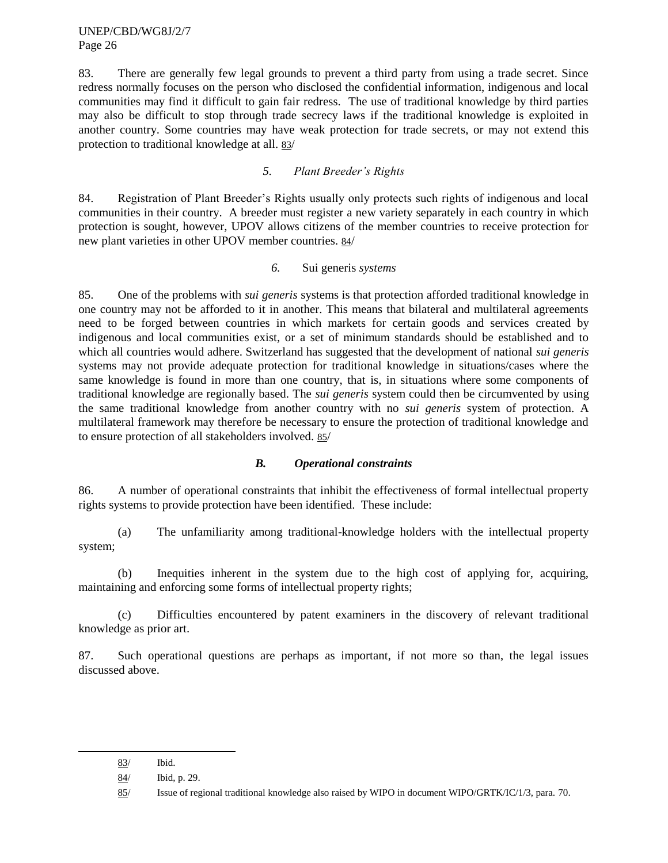83. There are generally few legal grounds to prevent a third party from using a trade secret. Since redress normally focuses on the person who disclosed the confidential information, indigenous and local communities may find it difficult to gain fair redress. The use of traditional knowledge by third parties may also be difficult to stop through trade secrecy laws if the traditional knowledge is exploited in another country. Some countries may have weak protection for trade secrets, or may not extend this protection to traditional knowledge at all. 83/

# *5. Plant Breeder's Rights*

84. Registration of Plant Breeder's Rights usually only protects such rights of indigenous and local communities in their country. A breeder must register a new variety separately in each country in which protection is sought, however, UPOV allows citizens of the member countries to receive protection for new plant varieties in other UPOV member countries. 84/

#### *6.* Sui generis *systems*

85. One of the problems with *sui generis* systems is that protection afforded traditional knowledge in one country may not be afforded to it in another. This means that bilateral and multilateral agreements need to be forged between countries in which markets for certain goods and services created by indigenous and local communities exist, or a set of minimum standards should be established and to which all countries would adhere. Switzerland has suggested that the development of national *sui generis* systems may not provide adequate protection for traditional knowledge in situations/cases where the same knowledge is found in more than one country, that is, in situations where some components of traditional knowledge are regionally based. The *sui generis* system could then be circumvented by using the same traditional knowledge from another country with no *sui generis* system of protection. A multilateral framework may therefore be necessary to ensure the protection of traditional knowledge and to ensure protection of all stakeholders involved. 85/

#### *B. Operational constraints*

86. A number of operational constraints that inhibit the effectiveness of formal intellectual property rights systems to provide protection have been identified. These include:

(a) The unfamiliarity among traditional-knowledge holders with the intellectual property system;

(b) Inequities inherent in the system due to the high cost of applying for, acquiring, maintaining and enforcing some forms of intellectual property rights;

(c) Difficulties encountered by patent examiners in the discovery of relevant traditional knowledge as prior art.

87. Such operational questions are perhaps as important, if not more so than, the legal issues discussed above.

<sup>83/</sup> Ibid.

<sup>84/</sup> Ibid, p. 29.

<sup>85/</sup> Issue of regional traditional knowledge also raised by WIPO in document WIPO/GRTK/IC/1/3, para. 70.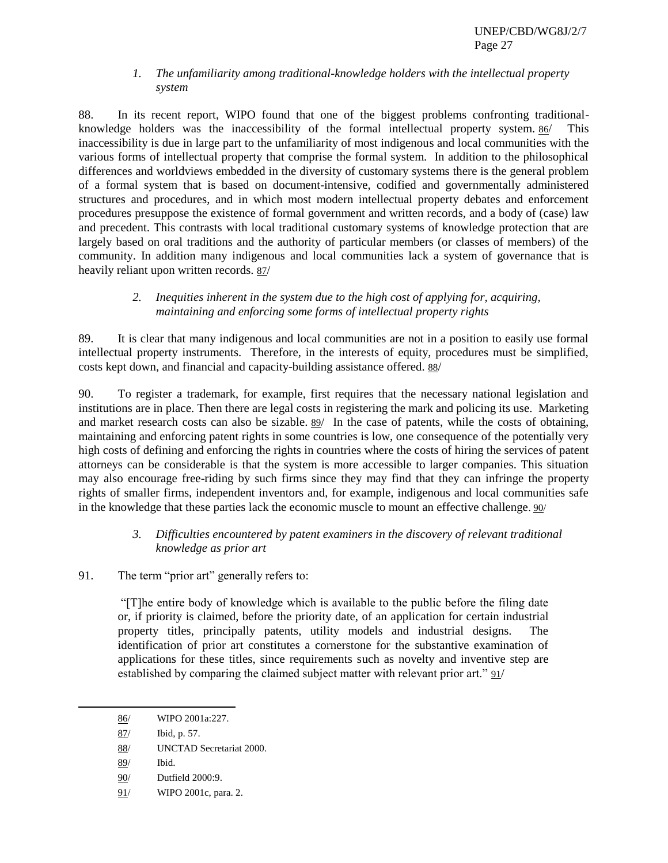## *1. The unfamiliarity among traditional-knowledge holders with the intellectual property system*

88. In its recent report, WIPO found that one of the biggest problems confronting traditionalknowledge holders was the inaccessibility of the formal intellectual property system. 86/ This inaccessibility is due in large part to the unfamiliarity of most indigenous and local communities with the various forms of intellectual property that comprise the formal system. In addition to the philosophical differences and worldviews embedded in the diversity of customary systems there is the general problem of a formal system that is based on document-intensive, codified and governmentally administered structures and procedures, and in which most modern intellectual property debates and enforcement procedures presuppose the existence of formal government and written records, and a body of (case) law and precedent. This contrasts with local traditional customary systems of knowledge protection that are largely based on oral traditions and the authority of particular members (or classes of members) of the community. In addition many indigenous and local communities lack a system of governance that is heavily reliant upon written records. 87/

# *2. Inequities inherent in the system due to the high cost of applying for, acquiring, maintaining and enforcing some forms of intellectual property rights*

89. It is clear that many indigenous and local communities are not in a position to easily use formal intellectual property instruments. Therefore, in the interests of equity, procedures must be simplified, costs kept down, and financial and capacity-building assistance offered. 88/

90. To register a trademark, for example, first requires that the necessary national legislation and institutions are in place. Then there are legal costs in registering the mark and policing its use. Marketing and market research costs can also be sizable. 89/ In the case of patents, while the costs of obtaining, maintaining and enforcing patent rights in some countries is low, one consequence of the potentially very high costs of defining and enforcing the rights in countries where the costs of hiring the services of patent attorneys can be considerable is that the system is more accessible to larger companies. This situation may also encourage free-riding by such firms since they may find that they can infringe the property rights of smaller firms, independent inventors and, for example, indigenous and local communities safe in the knowledge that these parties lack the economic muscle to mount an effective challenge. 90/

# *3. Difficulties encountered by patent examiners in the discovery of relevant traditional knowledge as prior art*

91. The term "prior art" generally refers to:

―[T]he entire body of knowledge which is available to the public before the filing date or, if priority is claimed, before the priority date, of an application for certain industrial property titles, principally patents, utility models and industrial designs. The identification of prior art constitutes a cornerstone for the substantive examination of applications for these titles, since requirements such as novelty and inventive step are established by comparing the claimed subject matter with relevant prior art." 91/

l

91/ WIPO 2001c, para. 2.

<sup>86/</sup> WIPO 2001a:227.

<sup>87/</sup> Ibid, p. 57.

<sup>88/</sup> UNCTAD Secretariat 2000.

<sup>89/</sup> Ibid.

<sup>90/</sup> Dutfield 2000:9.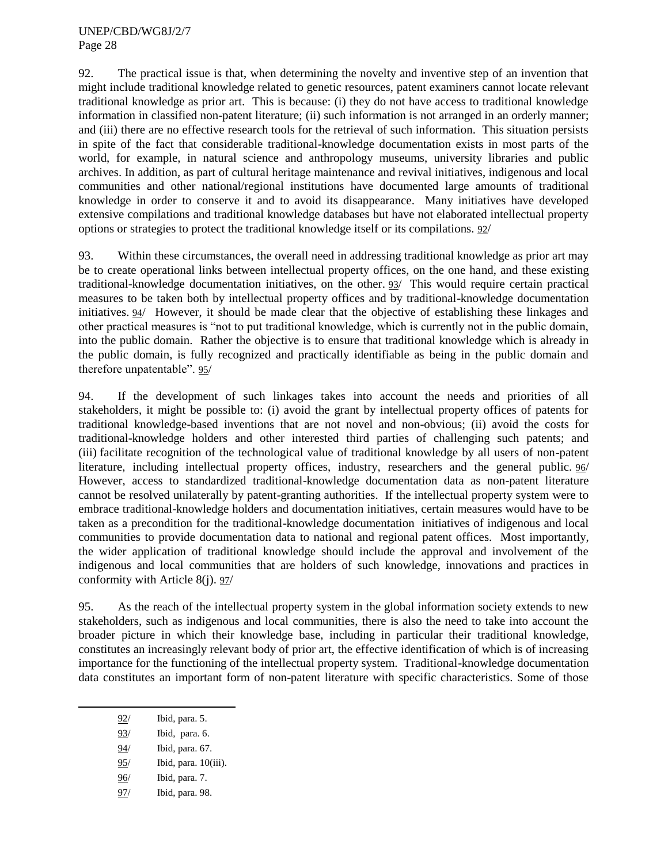92. The practical issue is that, when determining the novelty and inventive step of an invention that might include traditional knowledge related to genetic resources, patent examiners cannot locate relevant traditional knowledge as prior art. This is because: (i) they do not have access to traditional knowledge information in classified non-patent literature; (ii) such information is not arranged in an orderly manner; and (iii) there are no effective research tools for the retrieval of such information. This situation persists in spite of the fact that considerable traditional-knowledge documentation exists in most parts of the world, for example, in natural science and anthropology museums, university libraries and public archives. In addition, as part of cultural heritage maintenance and revival initiatives, indigenous and local communities and other national/regional institutions have documented large amounts of traditional knowledge in order to conserve it and to avoid its disappearance. Many initiatives have developed extensive compilations and traditional knowledge databases but have not elaborated intellectual property options or strategies to protect the traditional knowledge itself or its compilations. 92/

93. Within these circumstances, the overall need in addressing traditional knowledge as prior art may be to create operational links between intellectual property offices, on the one hand, and these existing traditional-knowledge documentation initiatives, on the other. 93/ This would require certain practical measures to be taken both by intellectual property offices and by traditional-knowledge documentation initiatives. 94/ However, it should be made clear that the objective of establishing these linkages and other practical measures is "not to put traditional knowledge, which is currently not in the public domain, into the public domain. Rather the objective is to ensure that traditional knowledge which is already in the public domain, is fully recognized and practically identifiable as being in the public domain and therefore unpatentable". 95/

94. If the development of such linkages takes into account the needs and priorities of all stakeholders, it might be possible to: (i) avoid the grant by intellectual property offices of patents for traditional knowledge-based inventions that are not novel and non-obvious; (ii) avoid the costs for traditional-knowledge holders and other interested third parties of challenging such patents; and (iii) facilitate recognition of the technological value of traditional knowledge by all users of non-patent literature, including intellectual property offices, industry, researchers and the general public. 96/ However, access to standardized traditional-knowledge documentation data as non-patent literature cannot be resolved unilaterally by patent-granting authorities. If the intellectual property system were to embrace traditional-knowledge holders and documentation initiatives, certain measures would have to be taken as a precondition for the traditional-knowledge documentation initiatives of indigenous and local communities to provide documentation data to national and regional patent offices. Most importantly, the wider application of traditional knowledge should include the approval and involvement of the indigenous and local communities that are holders of such knowledge, innovations and practices in conformity with Article 8(j). 97/

95. As the reach of the intellectual property system in the global information society extends to new stakeholders, such as indigenous and local communities, there is also the need to take into account the broader picture in which their knowledge base, including in particular their traditional knowledge, constitutes an increasingly relevant body of prior art, the effective identification of which is of increasing importance for the functioning of the intellectual property system. Traditional-knowledge documentation data constitutes an important form of non-patent literature with specific characteristics. Some of those

- 95/ Ibid, para. 10(iii).
- 96/ Ibid, para. 7.
- 97/ Ibid, para. 98.

<sup>92/</sup> Ibid, para. 5.

<sup>93/</sup> Ibid, para. 6.

<sup>94/</sup> Ibid, para. 67.